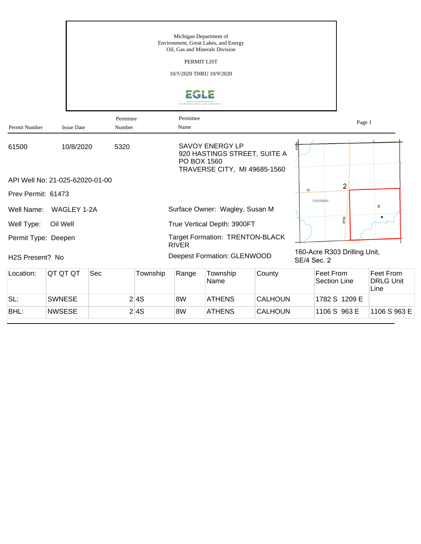|                     |                                 |                     |          | Michigan Department of                  | Environment, Great Lakes, and Energy<br>Oil, Gas and Minerals Division                 |                |                    |                                  |                                       |
|---------------------|---------------------------------|---------------------|----------|-----------------------------------------|----------------------------------------------------------------------------------------|----------------|--------------------|----------------------------------|---------------------------------------|
|                     |                                 |                     |          | PERMIT LIST<br>10/5/2020 THRU 10/9/2020 |                                                                                        |                |                    |                                  |                                       |
|                     |                                 |                     |          |                                         |                                                                                        |                |                    |                                  |                                       |
| Permit Number       | <b>Issue Date</b>               | Permittee<br>Number |          | Permittee<br>Name                       |                                                                                        |                |                    | Page 1                           |                                       |
| 61500               | 10/8/2020                       | 5320                |          | PO BOX 1560                             | <b>SAVOY ENERGY LP</b><br>920 HASTINGS STREET, SUITE A<br>TRAVERSE CITY, MI 49685-1560 |                |                    |                                  |                                       |
|                     | API Well No: 21-025-62020-01-00 |                     |          |                                         |                                                                                        |                |                    | 2                                |                                       |
| Prev Permit: 61473  |                                 |                     |          |                                         |                                                                                        |                | M                  | <b>T04SR08W</b>                  |                                       |
| Well Name:          | WAGLEY 1-2A                     |                     |          |                                         | Surface Owner: Wagley, Susan M                                                         |                |                    |                                  | X                                     |
| Well Type:          | Oil Well                        |                     |          |                                         | True Vertical Depth: 3900FT                                                            |                |                    | <b>M66</b>                       |                                       |
| Permit Type: Deepen |                                 |                     |          | <b>RIVER</b>                            | <b>Target Formation: TRENTON-BLACK</b>                                                 |                |                    |                                  |                                       |
| H2S Present? No     |                                 |                     |          |                                         | <b>Deepest Formation: GLENWOOD</b>                                                     |                | <b>SE/4 Sec. 2</b> | 160-Acre R303 Drilling Unit,     |                                       |
| Location:           | QT QT QT                        | Sec                 | Township | Range                                   | Township<br>Name                                                                       | County         |                    | Feet From<br><b>Section Line</b> | Feet From<br><b>DRLG Unit</b><br>Line |
| SL:                 | <b>SWNESE</b>                   |                     | 2 4S     | 8W                                      | <b>ATHENS</b>                                                                          | <b>CALHOUN</b> |                    | 1782 S 1209 E                    |                                       |
| BHL:                | <b>NWSESE</b>                   |                     | 2 4S     | 8W                                      | <b>ATHENS</b>                                                                          | <b>CALHOUN</b> |                    | 1106 S 963 E                     | 1106 S 963 E                          |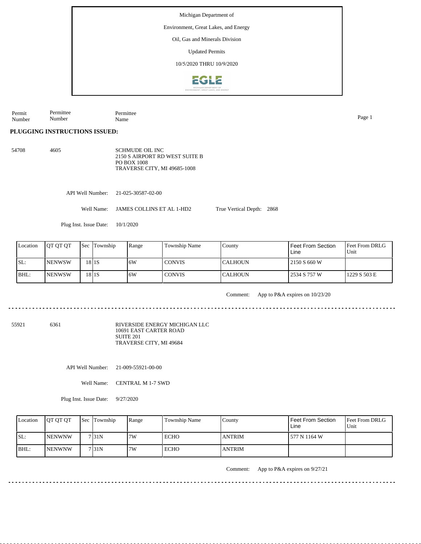Environment, Great Lakes, and Energy

Oil, Gas and Minerals Division

Updated Permits

10/5/2020 THRU 10/9/2020



Permit Number Permittee Number Permittee Name Page 1

**PLUGGING INSTRUCTIONS ISSUED:**

54708 4605 SCHMUDE OIL INC 2150 S AIRPORT RD WEST SUITE B PO BOX 1008 TRAVERSE CITY, MI 49685-1008

API Well Number: 21-025-30587-02-00

Well Name: JAMES COLLINS ET AL 1-HD2

Plug Inst. Issue Date: 10/1/2020

| Location | <b>IOT OT OT</b> | <b>Sec Township</b> | Range | Township Name | Countv   | <b>Feet From Section</b><br>Line | <b>IFeet From DRLG</b><br>Unit |
|----------|------------------|---------------------|-------|---------------|----------|----------------------------------|--------------------------------|
| ISL:     | <b>INENWSW</b>   | 18 <sub>15</sub>    | .6W   | <b>CONVIS</b> | ICALHOUN | 2150 S 660 W                     |                                |
| BHL:     | <b>INENWSW</b>   | $18$   $1S$         | 6W    | <b>CONVIS</b> | ICALHOUN | 2534 S 757 W                     | 1229 S 503 E                   |

Comment: App to P&A expires on 10/23/20

True Vertical Depth: 2868

55921 6361

RIVERSIDE ENERGY MICHIGAN LLC 10691 EAST CARTER ROAD SUITE 201 TRAVERSE CITY, MI 49684

API Well Number: 21-009-55921-00-00

Well Name: CENTRAL M 1-7 SWD

Plug Inst. Issue Date: 9/27/2020

| Location | <b>OT OT OT</b> | Sec Township       | Range | Township Name | County        | Feet From Section<br>Line | <b>Feet From DRLG</b><br>Unit |
|----------|-----------------|--------------------|-------|---------------|---------------|---------------------------|-------------------------------|
| SL:      | <b>INENWNW</b>  | 7131N              | 7W    | ECHO          | <b>ANTRIM</b> | 577 N 1164 W              |                               |
| BHL:     | <b>INENWNW</b>  | 7 <sub>131</sub> N | 7W    | ECHO          | <b>ANTRIM</b> |                           |                               |

Comment: App to P&A expires on 9/27/21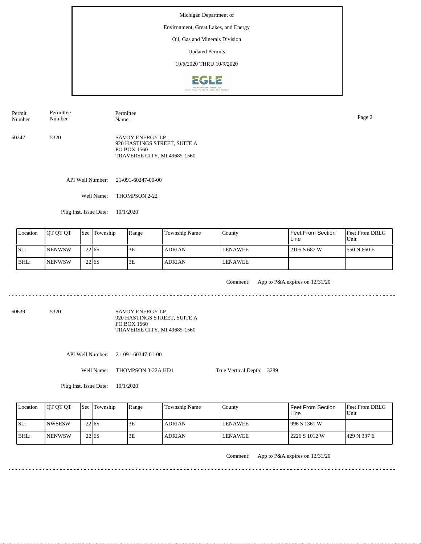## Environment, Great Lakes, and Energy

Oil, Gas and Minerals Division

Updated Permits

10/5/2020 THRU 10/9/2020



60247 5320 SAVOY ENERGY LP 920 HASTINGS STREET, SUITE A PO BOX 1560 TRAVERSE CITY, MI 49685-1560 Permit Number Permittee Number Permittee Name Page 2

API Well Number: 21-091-60247-00-00

Well Name: THOMPSON 2-22

Plug Inst. Issue Date: 10/1/2020

| Location | <b>OT OT OT</b> |                   | <b>Sec Township</b> | Range | Township Name | County         | Feet From Section<br>Line | <b>Feet From DRLG</b><br>Unit |
|----------|-----------------|-------------------|---------------------|-------|---------------|----------------|---------------------------|-------------------------------|
| SL:      | <b>NENWSW</b>   | 22 <sub>16S</sub> |                     | 3E    | <b>ADRIAN</b> | <b>LENAWEE</b> | 2105 S 687 W              | 550 N 660 E                   |
| BHL:     | <b>NENWSW</b>   | 22 <sub>16S</sub> |                     | 3Ε    | <b>ADRIAN</b> | <b>LENAWEE</b> |                           |                               |

<u>. . . . . . . . .</u>

Comment: App to P&A expires on 12/31/20

60639 5320

SAVOY ENERGY LP 920 HASTINGS STREET, SUITE A PO BOX 1560 TRAVERSE CITY, MI 49685-1560

API Well Number: 21-091-60347-01-00

Well Name: THOMPSON 3-22A HD1

True Vertical Depth: 3289

Plug Inst. Issue Date: 10/1/2020

| Location | <b>OT OT OT</b> |                   | <b>Sec Township</b> | Range | Township Name | Countv         | <b>Feet From Section</b><br>Line | <b>Feet From DRLG</b><br>Unit |
|----------|-----------------|-------------------|---------------------|-------|---------------|----------------|----------------------------------|-------------------------------|
| SL:      | <b>INWSESW</b>  | 22 <sub>16S</sub> |                     | 3E    | <b>ADRIAN</b> | <b>LENAWEE</b> | 1996 S 1361 W                    |                               |
| BHL:     | <b>INENWSW</b>  | 22 6 S            |                     | 3E    | <b>ADRIAN</b> | <b>LENAWEE</b> | 2226 S 1012 W                    | 1429 N 337 E                  |

Comment: App to P&A expires on 12/31/20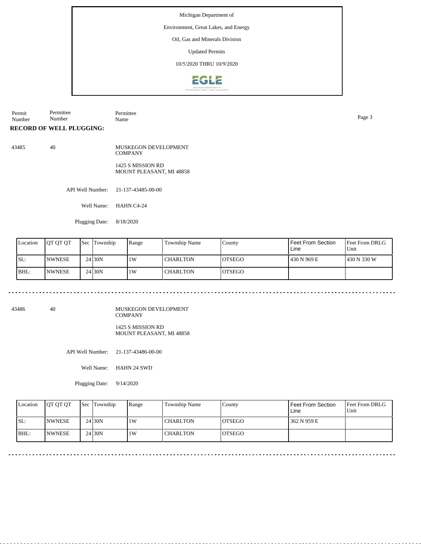## Environment, Great Lakes, and Energy

Oil, Gas and Minerals Division

Updated Permits

10/5/2020 THRU 10/9/2020



Permit Number Permittee Number Permittee Name Page 3

**RECORD OF WELL PLUGGING:**

43485 40

MUSKEGON DEVELOPMENT **COMPANY** 1425 S MISSION RD MOUNT PLEASANT, MI 48858

API Well Number: 21-137-43485-00-00

Well Name: HAHN C4-24

Plugging Date: 8/18/2020

| Location | IOT OT OT      | <b>Sec Township</b> | Range | Township Name   | County         | l Feet From Section<br>Line | <b>IFeet From DRLG</b><br>Unit |
|----------|----------------|---------------------|-------|-----------------|----------------|-----------------------------|--------------------------------|
| ISL:     | <b>INWNESE</b> | 24 <sub>130</sub> N | 1W    | <b>CHARLTON</b> | <b>IOTSEGO</b> | 1430 N 969 E                | 1430 N 330 W                   |
| BHL:     | <b>INWNESE</b> | 24 <sub>30</sub> N  | 1W    | <b>CHARLTON</b> | <b>IOTSEGO</b> |                             |                                |

. . . . . .

43486 40

MUSKEGON DEVELOPMENT COMPANY

1425 S MISSION RD MOUNT PLEASANT, MI 48858

API Well Number: 21-137-43486-00-00

Well Name: HAHN 24 SWD

Plugging Date: 9/14/2020

| Location | <b>IOT OT OT</b> | <b>Sec</b> Township | Range | <b>Township Name</b> | County         | <b>Feet From Section</b><br>Line | <b>Feet From DRLG</b><br>Unit |
|----------|------------------|---------------------|-------|----------------------|----------------|----------------------------------|-------------------------------|
| ISL:     | <b>INWNESE</b>   | $24$ 30N            | 1W    | <b>CHARLTON</b>      | IOTSEGO        | 362 N 959 E                      |                               |
| BHL:     | <b>INWNESE</b>   | 24 <sub>30</sub> N  | 1 W   | <b>CHARLTON</b>      | <b>IOTSEGO</b> |                                  |                               |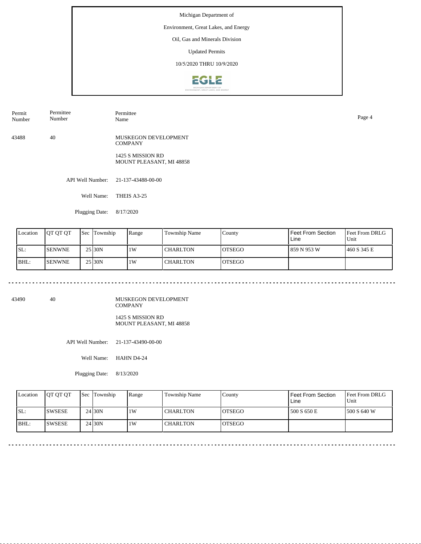## Environment, Great Lakes, and Energy

Oil, Gas and Minerals Division

Updated Permits

10/5/2020 THRU 10/9/2020



| Permit<br>Number | Permittee<br>Number | Permittee<br>Name | Page 4 |
|------------------|---------------------|-------------------|--------|
|                  |                     |                   |        |

43488 40 MUSKEGON DEVELOPMENT **COMPANY** 

> 1425 S MISSION RD MOUNT PLEASANT, MI 48858

API Well Number: 21-137-43488-00-00

Well Name: THEIS A3-25

Plugging Date: 8/17/2020

| Location | JOT OT OT     | <b>Sec</b> | Township            | Range | Township Name   | County         | Feet From Section<br>Line | <b>Feet From DRLG</b><br>Unit |
|----------|---------------|------------|---------------------|-------|-----------------|----------------|---------------------------|-------------------------------|
| SL:      | <b>SENWNE</b> |            | 25 <sub>130</sub> N | 1W    | <b>CHARLTON</b> | IOTSEGO        | 859 N 953 W               | 1460 S 345 E                  |
| BHL:     | <b>SENWNE</b> |            | 25 30N              | 1W    | <b>CHARLTON</b> | <b>IOTSEGO</b> |                           |                               |

43490 40

MUSKEGON DEVELOPMENT COMPANY 1425 S MISSION RD

MOUNT PLEASANT, MI 48858

API Well Number: 21-137-43490-00-00

Well Name: HAHN D4-24

Plugging Date: 8/13/2020

| Location | <b>OT OT OT</b> | <b>Sec</b> Township | Range | Township Name   | County         | Feet From Section<br>Line | <b>Feet From DRLG</b><br>Unit |
|----------|-----------------|---------------------|-------|-----------------|----------------|---------------------------|-------------------------------|
| ISL:     | <b>SWSESE</b>   | 24 <sub>130</sub> N | 1W    | <b>CHARLTON</b> | <b>IOTSEGO</b> | 500 S 650 E               | 1500 S 640 W                  |
| BHL:     | ISWSESE         | 24 <sub>130</sub> N | 1 W   | <b>CHARLTON</b> | <b>OTSEGO</b>  |                           |                               |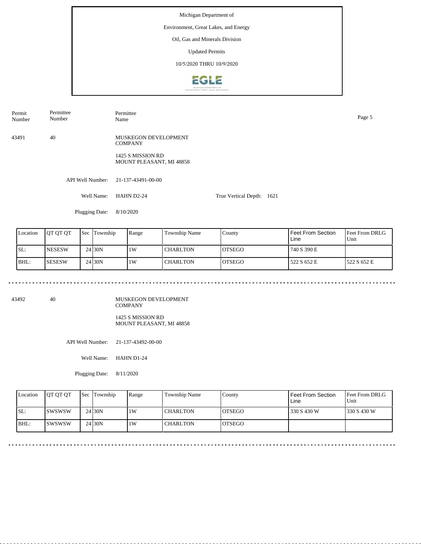## Environment, Great Lakes, and Energy

Oil, Gas and Minerals Division

Updated Permits

10/5/2020 THRU 10/9/2020



| Permit | Permittee | Permittee | Page 5 |
|--------|-----------|-----------|--------|
| Number | Number    | Name      |        |
|        |           |           |        |

43491 40 MUSKEGON DEVELOPMENT **COMPANY** 

> 1425 S MISSION RD MOUNT PLEASANT, MI 48858

API Well Number: 21-137-43491-00-00

Well Name: HAHN D2-24 True Vertical Depth: 1621

Plugging Date: 8/10/2020

| Location | <b>IOT OT OT</b> | Sec | Township           | Range | Township Name | County         | <b>Feet From Section</b><br>Line | <b>Feet From DRLG</b><br>Unit |
|----------|------------------|-----|--------------------|-------|---------------|----------------|----------------------------------|-------------------------------|
| SL:      | <b>NESESW</b>    |     | 24 <sub>30</sub> N | 1W    | l CHARLTON    | <b>IOTSEGO</b> | 740 S 390 E                      |                               |
| BHL:     | <b>SESESW</b>    |     | 24 <sub>30</sub> N | 1W    | l CHARLTON    | <b>IOTSEGO</b> | 522 S 652 E                      | 1522 S 652 E                  |

43492 40

MUSKEGON DEVELOPMENT COMPANY 1425 S MISSION RD

MOUNT PLEASANT, MI 48858

API Well Number: 21-137-43492-00-00

Well Name: HAHN D1-24

Plugging Date: 8/11/2020

| Location | <b>IOT OT OT</b> | Sec Township | Range | Township Name   | County         | Feet From Section<br>Line | <b>Feet From DRLG</b><br>Unit |
|----------|------------------|--------------|-------|-----------------|----------------|---------------------------|-------------------------------|
| ISL:     | Iswswsw          | 24 30N       | 1W    | <b>CHARLTON</b> | <b>IOTSEGO</b> | 330 S 430 W               | 1330 S 430 W                  |
| BHL:     | ISWSWSW          | 24 30N       | 1 W   | <b>CHARLTON</b> | <b>OTSEGO</b>  |                           |                               |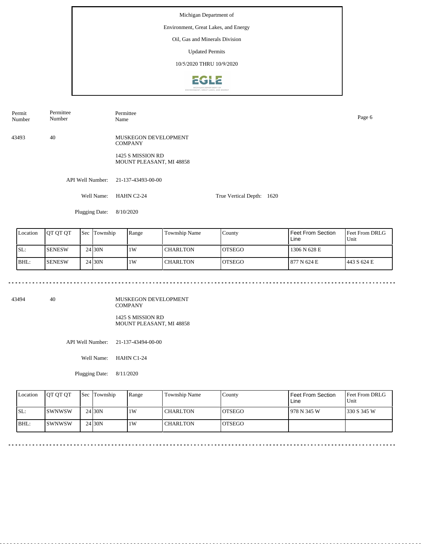## Environment, Great Lakes, and Energy

Oil, Gas and Minerals Division

Updated Permits

10/5/2020 THRU 10/9/2020



| Permit<br>Number | Permittee<br>Number | Permittee<br>Name | Page 6 |
|------------------|---------------------|-------------------|--------|
|                  |                     |                   |        |

43493 40 MUSKEGON DEVELOPMENT **COMPANY** 

> 1425 S MISSION RD MOUNT PLEASANT, MI 48858

API Well Number: 21-137-43493-00-00

Well Name: HAHN C2-24 True Vertical Depth: 1620

Plugging Date: 8/10/2020

| Location | <b>IOT OT OT</b> | Sec | Township           | Range | Township Name | County         | <b>Feet From Section</b><br>Line | <b>Feet From DRLG</b><br>Unit |
|----------|------------------|-----|--------------------|-------|---------------|----------------|----------------------------------|-------------------------------|
| SL:      | <b>SENESW</b>    |     | 24 <sub>30</sub> N | 1W    | l CHARLTON    | <b>IOTSEGO</b> | 1306 N 628 E                     |                               |
| BHL:     | <b>SENESW</b>    |     | $24$ 30N           | 1W    | l CHARLTON    | <b>IOTSEGO</b> | 877 N 624 E                      | 1443 S 624 E                  |

43494 40

MUSKEGON DEVELOPMENT COMPANY 1425 S MISSION RD

MOUNT PLEASANT, MI 48858

API Well Number: 21-137-43494-00-00

Well Name: HAHN C1-24

Plugging Date: 8/11/2020

| Location | <b>OT OT OT</b> | <b>Sec</b> Township | Range | Township Name   | County         | Feet From Section<br>Line | <b>Feet From DRLG</b><br>Unit |
|----------|-----------------|---------------------|-------|-----------------|----------------|---------------------------|-------------------------------|
| ISL:     | <b>ISWNWSW</b>  | 24130N              | 1 W   | <b>CHARLTON</b> | IOTSEGO        | 978 N 345 W               | 1330 S 345 W                  |
| BHL:     | ISWNWSW         | $24$ 30N            | 1W    | <b>CHARLTON</b> | <b>IOTSEGO</b> |                           |                               |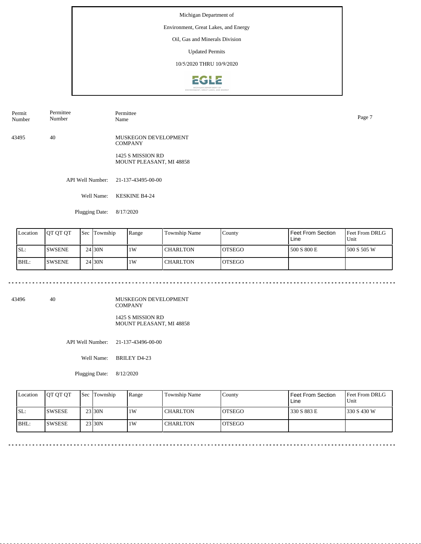## Environment, Great Lakes, and Energy

Oil, Gas and Minerals Division

Updated Permits

10/5/2020 THRU 10/9/2020



| Permit | Permittee        | Permittee | Page |
|--------|------------------|-----------|------|
| Number | Number           | Name      |      |
|        | - . <del>.</del> |           |      |
|        |                  |           |      |

43495 40 MUSKEGON DEVELOPMENT **COMPANY** 

> 1425 S MISSION RD MOUNT PLEASANT, MI 48858

API Well Number: 21-137-43495-00-00

Well Name: KESKINE B4-24

Plugging Date: 8/17/2020

| Location | <b>IOT OT OT</b> | 'Sec | Township            | Range | Township Name   | County         | Feet From Section<br>Line | <b>Feet From DRLG</b><br>Unit |
|----------|------------------|------|---------------------|-------|-----------------|----------------|---------------------------|-------------------------------|
| ISL:     | <b>SWSENE</b>    |      | 24130N              | 1W    | <b>CHARLTON</b> | IOTSEGO        | 500 S 800 E               | 1500 S 505 W                  |
| BHL:     | <b>SWSENE</b>    |      | 24 <sub>130</sub> N | 1W    | <b>CHARLTON</b> | <b>IOTSEGO</b> |                           |                               |

43496 40

MUSKEGON DEVELOPMENT COMPANY 1425 S MISSION RD

MOUNT PLEASANT, MI 48858

API Well Number: 21-137-43496-00-00

Well Name: BRILEY D4-23

Plugging Date: 8/12/2020

| Location | <b>OT OT OT</b> | <b>Sec</b> Township | Range | Township Name   | County         | Feet From Section<br>Line | <b>Feet From DRLG</b><br>Unit |
|----------|-----------------|---------------------|-------|-----------------|----------------|---------------------------|-------------------------------|
| ISL:     | <b>SWSESE</b>   | 23 30N              | 1W    | <b>CHARLTON</b> | <b>IOTSEGO</b> | 330 S 883 E               | 1330 S 430 W                  |
| BHL:     | ISWSESE         | 23 30N              | 1 W   | <b>CHARLTON</b> | <b>OTSEGO</b>  |                           |                               |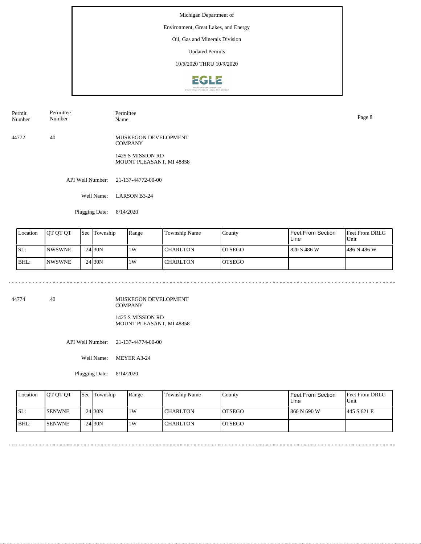## Environment, Great Lakes, and Energy

Oil, Gas and Minerals Division

Updated Permits

10/5/2020 THRU 10/9/2020



| Permit<br>Number | $\sim$<br>Permittee<br>Number | Permittee<br>Name | Page 8 |
|------------------|-------------------------------|-------------------|--------|
|                  |                               |                   |        |

44772 40 MUSKEGON DEVELOPMENT **COMPANY** 

> 1425 S MISSION RD MOUNT PLEASANT, MI 48858

API Well Number: 21-137-44772-00-00

Well Name: LARSON B3-24

Plugging Date: 8/14/2020

| Location | <b>IOT OT OT</b> | Sec | Township            | Range | Township Name   | County         | Feet From Section<br>Line | <b>Feet From DRLG</b><br>Unit |
|----------|------------------|-----|---------------------|-------|-----------------|----------------|---------------------------|-------------------------------|
| ISL:     | <b>INWSWNE</b>   |     | 24 30N              | 1W    | <b>CHARLTON</b> | IOTSEGO        | 820 S 486 W               | 1486 N 486 W                  |
| BHL:     | <b>NWSWNE</b>    |     | 24 <sub>130</sub> N | 1W    | <b>CHARLTON</b> | <b>IOTSEGO</b> |                           |                               |

44774 40

MUSKEGON DEVELOPMENT COMPANY 1425 S MISSION RD

MOUNT PLEASANT, MI 48858

<u>. . . . . . . . .</u>

API Well Number: 21-137-44774-00-00

Well Name: MEYER A3-24

Plugging Date: 8/14/2020

| Location | <b>IOT OT OT</b> | <b>Sec</b> Township | Range | Township Name   | Countv         | Feet From Section<br>Line | <b>Feet From DRLG</b><br>Unit |
|----------|------------------|---------------------|-------|-----------------|----------------|---------------------------|-------------------------------|
| SL:      | <b>ISENWNE</b>   | 24 <sub>130</sub> N | 1W    | <b>CHARLTON</b> | IOTSEGO        | 860 N 690 W               | 1445 S 621 E                  |
| BHL:     | <b>ISENWNE</b>   | 24 <sub>130</sub> N | 1 W   | <b>CHARLTON</b> | <b>IOTSEGO</b> |                           |                               |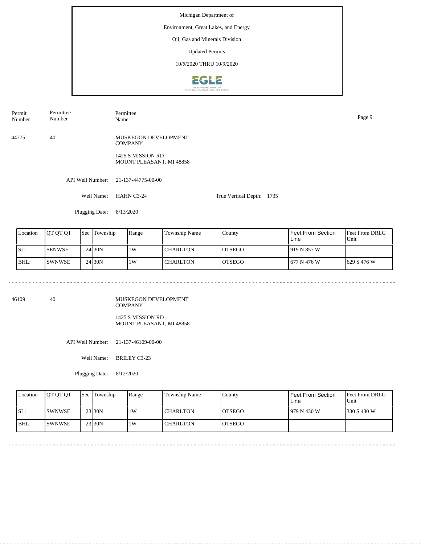## Environment, Great Lakes, and Energy

Oil, Gas and Minerals Division

Updated Permits

10/5/2020 THRU 10/9/2020



Permit Number Permittee Number Permittee Name Page 9

44775 40 MUSKEGON DEVELOPMENT **COMPANY** 

> 1425 S MISSION RD MOUNT PLEASANT, MI 48858

API Well Number: 21-137-44775-00-00

Well Name: HAHN C3-24 True Vertical Depth: 1735

Plugging Date: 8/13/2020

| Location | <b>IOT OT OT</b> | <b>Sec</b> Township | Range | Township Name   | County         | <b>Feet From Section</b><br>Line | <b>Feet From DRLG</b><br>Unit |
|----------|------------------|---------------------|-------|-----------------|----------------|----------------------------------|-------------------------------|
| SL:      | <b>I</b> SENWSE  | 24 <sub>130</sub> N | 1W    | <b>CHARLTON</b> | <b>IOTSEGO</b> | 1919 N 857 W                     |                               |
| BHL:     | <b>ISWNWSE</b>   | 24 <sub>130</sub> N | 1W    | <b>CHARLTON</b> | <b>OTSEGO</b>  | 1 677 N 476 W                    | $1629$ S 476 W                |

46109 40

MUSKEGON DEVELOPMENT COMPANY 1425 S MISSION RD MOUNT PLEASANT, MI 48858

API Well Number: 21-137-46109-00-00

Well Name: BRILEY C3-23

Plugging Date: 8/12/2020

| Location | <b>OT OT OT</b> | <b>Sec</b> Township | Range | Township Name   | County         | Feet From Section<br>Line | <b>Feet From DRLG</b><br>Unit |
|----------|-----------------|---------------------|-------|-----------------|----------------|---------------------------|-------------------------------|
| ISL:     | <b>ISWNWSE</b>  | 23 30N              | 1 W   | <b>CHARLTON</b> | IOTSEGO        | 1979 N 430 W              | 1330 S 430 W                  |
| BHL:     | <b>ISWNWSE</b>  | 23 30N              | 1W    | <b>CHARLTON</b> | <b>IOTSEGO</b> |                           |                               |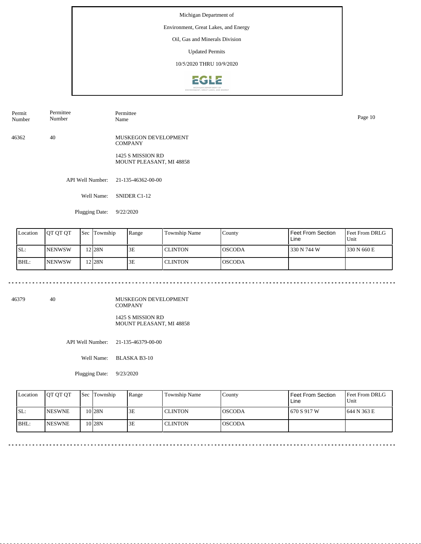## Environment, Great Lakes, and Energy

Oil, Gas and Minerals Division

Updated Permits

10/5/2020 THRU 10/9/2020



| Permit<br>Number | Permittee<br>Number | Permittee<br>Name | Page 10 |
|------------------|---------------------|-------------------|---------|
|                  |                     |                   |         |

46362 40 MUSKEGON DEVELOPMENT **COMPANY** 

> 1425 S MISSION RD MOUNT PLEASANT, MI 48858

API Well Number: 21-135-46362-00-00

Well Name: SNIDER C1-12

Plugging Date: 9/22/2020

| Location | <b>JOT OT OT</b> | Sec | Township | Range | Township Name | County          | Feet From Section<br>Line | <b>Feet From DRLG</b><br>Unit |
|----------|------------------|-----|----------|-------|---------------|-----------------|---------------------------|-------------------------------|
| SL:      | <b>NENWSW</b>    |     | 12 28 N  | 3E    | l CLINTON     | IOSCODA         | 330 N 744 W               | 1330 N 660 E                  |
| BHL:     | <b>NENWSW</b>    |     | 12 28 N  | 3E    | l CLINTON     | <b>l</b> OSCODA |                           |                               |

46379 40

MUSKEGON DEVELOPMENT COMPANY 1425 S MISSION RD

MOUNT PLEASANT, MI 48858

API Well Number: 21-135-46379-00-00

Well Name: BLASKA B3-10

Plugging Date: 9/23/2020

| Location | <b>IOT OT OT</b> | <b>Sec Township</b> | Range | <b>Township Name</b> | Countv          | Feet From Section<br>Line | <b>Feet From DRLG</b><br>Unit |
|----------|------------------|---------------------|-------|----------------------|-----------------|---------------------------|-------------------------------|
| SL:      | <b>NESWNE</b>    | 10 28N              | 3E    | <b>CLINTON</b>       | <b>IOSCODA</b>  | 670 S 917 W               | 1644 N 363 E                  |
| BHL:     | <b>INESWNE</b>   | 10 <sub>28N</sub>   | 3E    | <b>CLINTON</b>       | <b>l</b> OSCODA |                           |                               |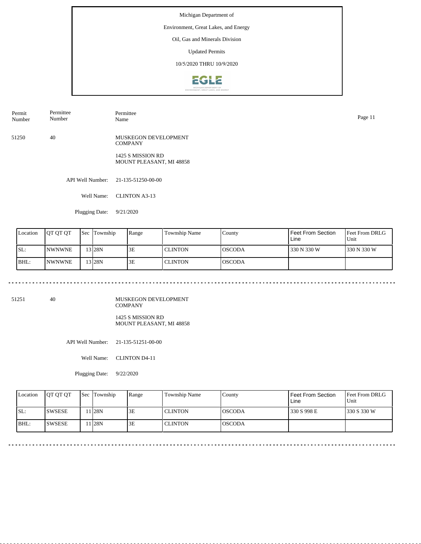## Environment, Great Lakes, and Energy

Oil, Gas and Minerals Division

Updated Permits

10/5/2020 THRU 10/9/2020



| Permit | Permittee | Permittee |
|--------|-----------|-----------|
| Number | Number    | Name      |

51250 40 MUSKEGON DEVELOPMENT **COMPANY** 

> 1425 S MISSION RD MOUNT PLEASANT, MI 48858

API Well Number: 21-135-51250-00-00

Well Name: CLINTON A3-13

Plugging Date: 9/21/2020

| Location | <b>IOT OT OT</b> | 'Sec | Township | Range | Township Name  | County  | Feet From Section<br>Line | <b>Feet From DRLG</b><br>Unit |
|----------|------------------|------|----------|-------|----------------|---------|---------------------------|-------------------------------|
| ISL:     | <b>INWNWNE</b>   |      | $3$ 28N  | 3E    | I CLINTON      | IOSCODA | 330 N 330 W               | 1330 N 330 W                  |
| BHL:     | <b>INWNWNE</b>   |      | 13 28N   | 3E    | <b>CLINTON</b> | IOSCODA |                           |                               |

51251 40

MUSKEGON DEVELOPMENT COMPANY 1425 S MISSION RD

MOUNT PLEASANT, MI 48858

API Well Number: 21-135-51251-00-00

Well Name: CLINTON D4-11

Plugging Date: 9/22/2020

| Location | <b>IOT OT OT</b> | Sec Township     | Range | Township Name  | Countv          | Feet From Section<br>Line | <b>Feet From DRLG</b><br>Unit |
|----------|------------------|------------------|-------|----------------|-----------------|---------------------------|-------------------------------|
| ISL:     | <b>ISWSESE</b>   | 1 <sup>28N</sup> | 3E    | <b>CLINTON</b> | <b>l</b> OSCODA | 330 S 998 E               | 1330 S 330 W                  |
| BHL:     | <b>SWSESE</b>    | 1 28N            | 3E    | <b>CLINTON</b> | <b>l</b> OSCODA |                           |                               |

Name Page 11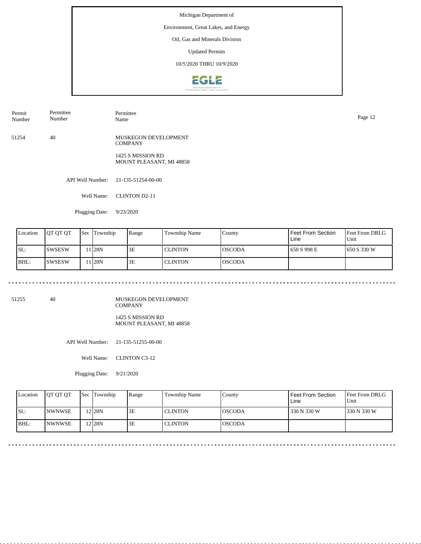## Environment, Great Lakes, and Energy

Oil, Gas and Minerals Division

Updated Permits

10/5/2020 THRU 10/9/2020



| Permit<br>Number | $\mathbf{r}$<br>Permittee<br>Number | Permittee<br>Name | $\sim$<br>Page |
|------------------|-------------------------------------|-------------------|----------------|
|                  |                                     |                   |                |

51254 40 MUSKEGON DEVELOPMENT **COMPANY** 

> 1425 S MISSION RD MOUNT PLEASANT, MI 48858

API Well Number: 21-135-51254-00-00

Well Name: CLINTON D2-11

Plugging Date: 9/23/2020

| Location | <b>IOT OT OT</b> | <b>Sec</b> | Township | Range | Township Name  | County  | Feet From Section<br>Line | <b>Feet From DRLG</b><br>'Unit |
|----------|------------------|------------|----------|-------|----------------|---------|---------------------------|--------------------------------|
| SL:      | ISWSESW          |            | 1 I28N   | 3E    | <b>CLINTON</b> | IOSCODA | 1650 S 998 E              | 1650 S 330 W                   |
| BHL:     | ISWSESW          |            | l I28N   | 3E    | <b>CLINTON</b> | IOSCODA |                           |                                |

51255 40

MUSKEGON DEVELOPMENT COMPANY 1425 S MISSION RD

MOUNT PLEASANT, MI 48858

API Well Number: 21-135-51255-00-00

Well Name: CLINTON C3-12

Plugging Date: 9/21/2020

| Location | <b>IOT OT OT</b> | Sec Township      | Range | Township Name  | County          | Feet From Section<br>Line | <b>Feet From DRLG</b><br>Unit |
|----------|------------------|-------------------|-------|----------------|-----------------|---------------------------|-------------------------------|
| SL:      | <b>INWNWSE</b>   | 12 <sub>28N</sub> | 3E    | <b>CLINTON</b> | IOSCODA         | 330 N 330 W               | 1330 N 330 W                  |
| IBHL:    | <b>INWNWSE</b>   | 12 <sub>28N</sub> | 3E    | <b>CLINTON</b> | <b>l</b> OSCODA |                           |                               |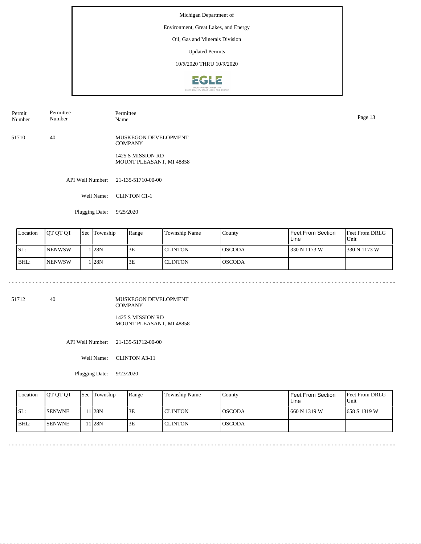## Environment, Great Lakes, and Energy

Oil, Gas and Minerals Division

Updated Permits

10/5/2020 THRU 10/9/2020



| Permit<br>Number | Permittee<br>Number | Permittee<br>.<br>Name | Page 13 |
|------------------|---------------------|------------------------|---------|
|                  |                     |                        |         |

51710 40 MUSKEGON DEVELOPMENT **COMPANY** 

> 1425 S MISSION RD MOUNT PLEASANT, MI 48858

API Well Number: 21-135-51710-00-00

Well Name: CLINTON C1-1

Plugging Date: 9/25/2020

| Location | <b>IQT OT OT</b> | <b>Sec</b> | Township | Range | Township Name  | County  | Feet From Section<br>Line | <b>Feet From DRLG</b><br>Unit |
|----------|------------------|------------|----------|-------|----------------|---------|---------------------------|-------------------------------|
| SL:      | <b>NENWSW</b>    |            | 128N     | 3E    | <b>CLINTON</b> | IOSCODA | 330 N 1173 W              | 1330 N 1173 W                 |
| BHL:     | <b>INENWSW</b>   |            | 28N      | 3E    | <b>CLINTON</b> | IOSCODA |                           |                               |

51712 40

MUSKEGON DEVELOPMENT COMPANY 1425 S MISSION RD

MOUNT PLEASANT, MI 48858

<u>. . . . . . . . . . . . . .</u>

API Well Number: 21-135-51712-00-00

Well Name: CLINTON A3-11

Plugging Date: 9/23/2020

| Location | <b>IOT OT OT</b> | <b>Sec</b> Township | Range | Township Name  | County          | Feet From Section<br>Line | <b>Feet From DRLG</b><br>Unit |
|----------|------------------|---------------------|-------|----------------|-----------------|---------------------------|-------------------------------|
| ISL:     | <b>SENWNE</b>    | 11 <sub>28N</sub>   | 3E    | <b>CLINTON</b> | <b>IOSCODA</b>  | 1660 N 1319 W             | 1658 S 1319 W                 |
| BHL:     | <b>ISENWNE</b>   | 11 28N              | 3E    | <b>CLINTON</b> | <b>l</b> OSCODA |                           |                               |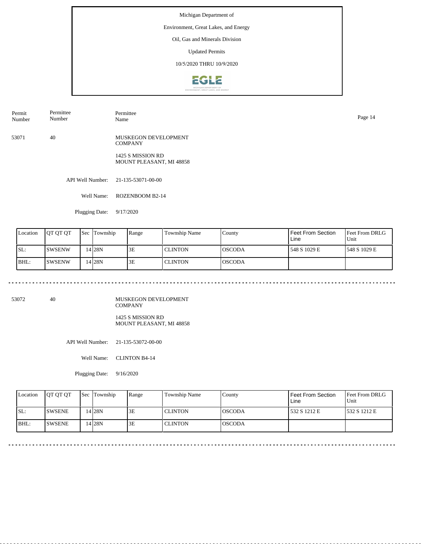## Environment, Great Lakes, and Energy

Oil, Gas and Minerals Division

Updated Permits

10/5/2020 THRU 10/9/2020



| Permit<br>Number | $\sim$<br>Permittee<br>Number | Permittee<br>Name | Page |
|------------------|-------------------------------|-------------------|------|
|                  |                               |                   |      |

53071 40 MUSKEGON DEVELOPMENT **COMPANY** 

> 1425 S MISSION RD MOUNT PLEASANT, MI 48858

API Well Number: 21-135-53071-00-00

Well Name: ROZENBOOM B2-14

Plugging Date: 9/17/2020

| Location | <b>IOT OT OT</b> | 'Sec | Township          | Range | Township Name  | County  | Feet From Section<br>Line | Feet From DRLG<br>'Unit |
|----------|------------------|------|-------------------|-------|----------------|---------|---------------------------|-------------------------|
| ISL:     | ISWSENW          |      | 14 <sub>28N</sub> | 3E    | <b>CLINTON</b> | IOSCODA | 548 S 1029 E              | 1548 S 1029 E           |
| BHL:     | <b>ISWSENW</b>   |      | 14 28 N           | 3E    | <b>CLINTON</b> | IOSCODA |                           |                         |

53072 40

MUSKEGON DEVELOPMENT COMPANY 1425 S MISSION RD

MOUNT PLEASANT, MI 48858

API Well Number: 21-135-53072-00-00

Well Name: CLINTON B4-14

Plugging Date: 9/16/2020

| Location | <b>IOT OT OT</b> | <b>Sec</b> Township | Range | Township Name  | Countv          | Feet From Section<br>Line | <b>Feet From DRLG</b><br>Unit |
|----------|------------------|---------------------|-------|----------------|-----------------|---------------------------|-------------------------------|
| ISL:     | <b>ISWSENE</b>   | 14 <sub>28N</sub>   | 3E    | <b>CLINTON</b> | <b>l</b> OSCODA | 532 S 1212 E              | 532 S 1212 E                  |
| BHL:     | <b>SWSENE</b>    | 14 <sub>28N</sub>   | 3E    | <b>CLINTON</b> | <b>l</b> OSCODA |                           |                               |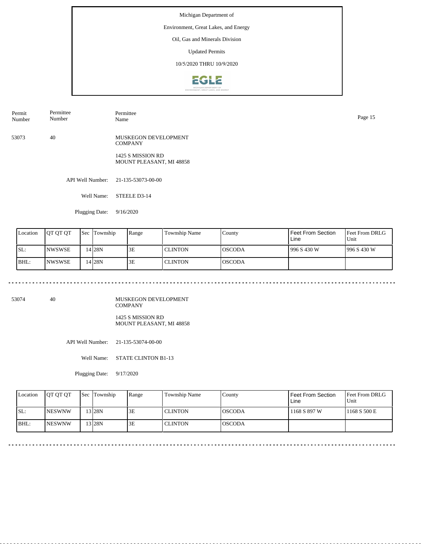## Environment, Great Lakes, and Energy

Oil, Gas and Minerals Division

Updated Permits

10/5/2020 THRU 10/9/2020



| Permit<br>Number | Permittee<br>Number | Permittee<br>Name | $\sim$<br>Page 15 |
|------------------|---------------------|-------------------|-------------------|
|                  |                     |                   |                   |

53073 40 MUSKEGON DEVELOPMENT **COMPANY** 

> 1425 S MISSION RD MOUNT PLEASANT, MI 48858

API Well Number: 21-135-53073-00-00

Well Name: STEELE D3-14

Plugging Date: 9/16/2020

| Location | JOT OT OT      | <b>Sec</b> | Township | Range | Township Name  | County  | Feet From Section<br>Line | <b>Feet From DRLG</b><br>Unit |
|----------|----------------|------------|----------|-------|----------------|---------|---------------------------|-------------------------------|
| SL:      | <b>INWSWSE</b> |            | 14 28 N  | 3E    | <b>CLINTON</b> | IOSCODA | 996 S 430 W               | 1996 S 430 W                  |
| BHL:     | <b>INWSWSE</b> |            | 14 28 N  | 3E    | <b>CLINTON</b> | IOSCODA |                           |                               |

53074 40

MUSKEGON DEVELOPMENT COMPANY 1425 S MISSION RD

MOUNT PLEASANT, MI 48858

API Well Number: 21-135-53074-00-00

Well Name: STATE CLINTON B1-13

Plugging Date: 9/17/2020

| Location | <b>IOT OT OT</b> | <b>Sec Township</b> | Range | Township Name  | Countv          | Feet From Section<br>Line | <b>Feet From DRLG</b><br>Unit |
|----------|------------------|---------------------|-------|----------------|-----------------|---------------------------|-------------------------------|
| SL:      | <b>INESWNW</b>   | 13 <sub>28N</sub>   | 3E    | <b>CLINTON</b> | <b>IOSCODA</b>  | 1168 S 897 W              | 1168 S 500 E                  |
| IBHL:    | <b>INESWNW</b>   | '3 28N              | 3E    | <b>CLINTON</b> | <b>l</b> OSCODA |                           |                               |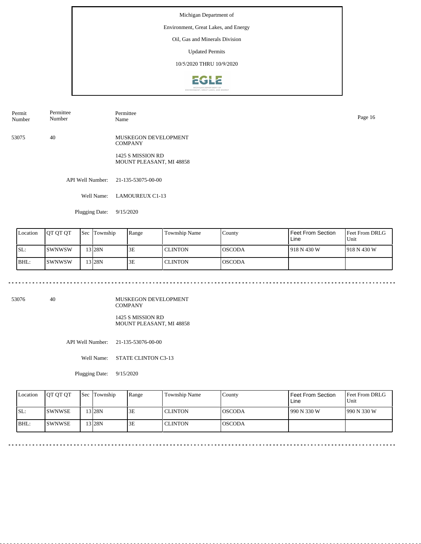## Environment, Great Lakes, and Energy

Oil, Gas and Minerals Division

Updated Permits

10/5/2020 THRU 10/9/2020



| Permit | Permittee |
|--------|-----------|
| Number | Number    |

53075 40 MUSKEGON DEVELOPMENT **COMPANY** 

> 1425 S MISSION RD MOUNT PLEASANT, MI 48858

API Well Number: 21-135-53075-00-00

Well Name: LAMOUREUX C1-13

Permittee

Plugging Date: 9/15/2020

| Location | <b>JOT OT OT</b> | Sec | Township | Range | Township Name  | County  | Feet From Section<br>Line | Feet From DRLG<br>'Unit |
|----------|------------------|-----|----------|-------|----------------|---------|---------------------------|-------------------------|
| SL:      | ISWNWSW          |     | 13 28N   | 3E    | <b>CLINTON</b> | IOSCODA | 1918 N 430 W              | 1918 N 430 W            |
| BHL:     | ISWNWSW          |     | 3128N    | 3E    | <b>CLINTON</b> | IOSCODA |                           |                         |

53076 40

MUSKEGON DEVELOPMENT COMPANY 1425 S MISSION RD

MOUNT PLEASANT, MI 48858

API Well Number: 21-135-53076-00-00

Well Name: STATE CLINTON C3-13

Plugging Date: 9/15/2020

| Location | <b>OT OT OT</b> | <b>Sec</b> Township | Range | Township Name  | County          | Feet From Section<br>Line | <b>Feet From DRLG</b><br>Unit |
|----------|-----------------|---------------------|-------|----------------|-----------------|---------------------------|-------------------------------|
| ISL:     | <b>ISWNWSE</b>  | 13 28N              | 3E    | <b>CLINTON</b> | <b>l</b> OSCODA | 1990 N 330 W              | 990 N 330 W                   |
| BHL:     | <b>ISWNWSE</b>  | 13 I28N             | 3Ε    | <b>CLINTON</b> | <b>l</b> OSCODA |                           |                               |

Name Page 16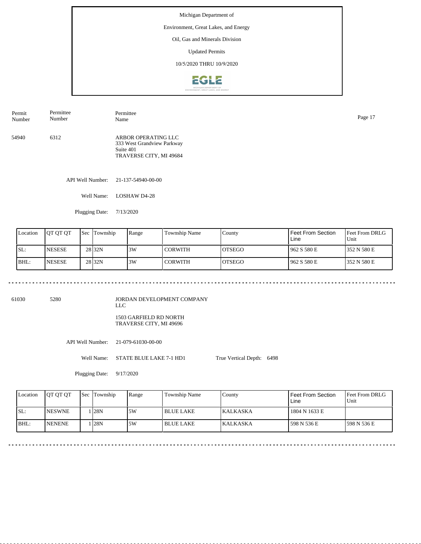### Environment, Great Lakes, and Energy

Oil, Gas and Minerals Division

Updated Permits

10/5/2020 THRU 10/9/2020



API Well Number: 21-137-54940-00-00 54940 6312 ARBOR OPERATING LLC 333 West Grandview Parkway Suite 401 TRAVERSE CITY, MI 49684 Permit Number Permittee Number Permittee Name Page 17

Well Name: LOSHAW D4-28

Plugging Date: 7/13/2020

| Location | IOT OT OT      | Sec | Township          | Range | Township Name | County         | Feet From Section<br>Line | <b>IFeet From DRLG</b><br>Unit |
|----------|----------------|-----|-------------------|-------|---------------|----------------|---------------------------|--------------------------------|
| SL:      | <b>INESESE</b> |     | 28 <sub>32N</sub> | 3W    | CORWITH       | IOTSEGO        | 962 S 580 E               | 1352 N 580 E                   |
| BHL:     | <b>NESESE</b>  |     | 28 <sub>32N</sub> | 3W    | CORWITH       | <b>IOTSEGO</b> | 962 S 580 E               | 1352 N 580 E                   |

61030 5280

JORDAN DEVELOPMENT COMPANY LLC

1503 GARFIELD RD NORTH TRAVERSE CITY, MI 49696

API Well Number: 21-079-61030-00-00

Well Name: STATE BLUE LAKE 7-1 HD1

Plugging Date: 9/17/2020

True Vertical Depth: 6498

Feet From DRLG Unit 598 N 536 E 1804 N 1633 E 598 N 536 E Feet From Section Line County KALKASKA KALKASKA Location QT QT QT Sec Township Range Township Name SL: BHL: NESWNE NENENE Sec Township 1 28N 1 28N 5W 5W BLUE LAKE BLUE LAKE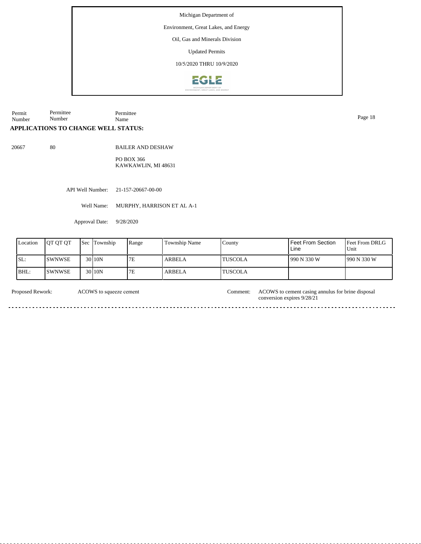Environment, Great Lakes, and Energy

Oil, Gas and Minerals Division

Updated Permits

10/5/2020 THRU 10/9/2020



Permit Number Permittee Number Permittee Name Page 18

# **APPLICATIONS TO CHANGE WELL STATUS:**

20667 80

BAILER AND DESHAW

PO BOX 366 KAWKAWLIN, MI 48631

API Well Number: 21-157-20667-00-00

Well Name: MURPHY, HARRISON ET AL A-1

Approval Date: 9/28/2020

| Location | <b>IOT OT OT</b> | Sec Township      | Range | <b>Township Name</b> | County          | Feet From Section<br>Line | Feet From DRLG<br>Unit |
|----------|------------------|-------------------|-------|----------------------|-----------------|---------------------------|------------------------|
| SL:      | <b>ISWNWSE</b>   | 30110N            | 7E    | <b>ARBELA</b>        | 'TUSCOLA        | 1990 N 330 W              | 990 N 330 W            |
| BHL:     | ISWNWSE          | 30 <sub>10N</sub> | 7E    | <b>ARBELA</b>        | <b>'TUSCOLA</b> |                           |                        |

ACOWS to squeeze cement

Proposed Rework: ACOWS to squeeze cement Comment: ACOWS to cement casing annulus for brine disposal conversion expires 9/28/21

 $\overline{a}$ .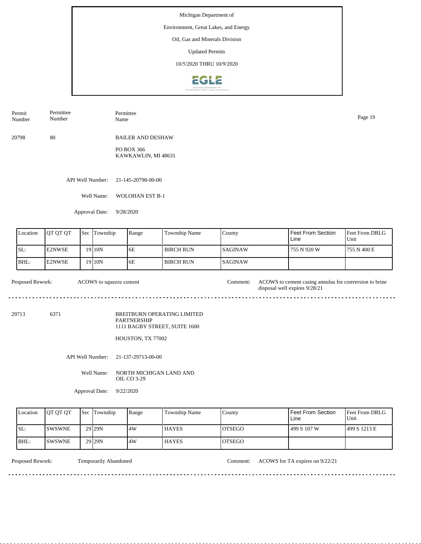## Environment, Great Lakes, and Energy

Oil, Gas and Minerals Division

Updated Permits

10/5/2020 THRU 10/9/2020



| Permit | Permittee | Permittee | Page 19 |
|--------|-----------|-----------|---------|
| Number | Number    | Name      |         |
|        |           |           |         |

20798 80

BAILER AND DESHAW

PO BOX 366 KAWKAWLIN, MI 48631

API Well Number: 21-145-20798-00-00

Well Name: WOLOHAN EST B-1

Approval Date: 9/28/2020

| Location | <b>IOT OT OT</b> | <b>Sec Township</b> | Range | <b>Township Name</b> | County          | Feet From Section<br>Line | Feet From DRLG<br>Unit |
|----------|------------------|---------------------|-------|----------------------|-----------------|---------------------------|------------------------|
| SL:      | E2NWSE           | 19 I 10 N           | 6E    | l BIRCH RUN          | <b>ISAGINAW</b> | 755 N 920 W               | 755 N 400 E            |
| IBHL:    | <b>IE2NWSE</b>   | 19 I 10N            | 6E    | I BIRCH RUN-         | <b>ISAGINAW</b> |                           |                        |

| <b>Proposed Rework:</b> | ACOWS to squeeze cement | :\omment: | ACOWS to cement casing annulus for conversion to brine<br>disposal well expires $9/28/21$ |
|-------------------------|-------------------------|-----------|-------------------------------------------------------------------------------------------|
|                         |                         |           |                                                                                           |

29713 6371

BREITBURN OPERATING LIMITED PARTNERSHIP 1111 BAGBY STREET, SUITE 1600

HOUSTON, TX 77002

API Well Number: 21-137-29713-00-00

Well Name: NORTH MICHIGAN LAND AND OIL CO 3-29

Approval Date: 9/22/2020

| Location | <b>OT OT OT</b> | <b>Sec Township</b> | Range | <b>Township Name</b> | Countv         | Feet From Section<br>Line | <b>Feet From DRLG</b><br>Unit |
|----------|-----------------|---------------------|-------|----------------------|----------------|---------------------------|-------------------------------|
| ISL:     | <b>ISWSWNE</b>  | 29 29 N             | 4W    | <b>HAYES</b>         | <b>IOTSEGO</b> | 499 S 107 W               | 499 S 1213 E                  |
| BHL:     | <b>ISWSWNE</b>  | 29 29 N             | 4W    | <b>HAYES</b>         | <b>IOTSEGO</b> |                           |                               |

<u>. . . . . . . . . . . . . . .</u>

Proposed Rework: Temporarily Abandoned Comment: ACOWS for TA expires on 9/22/21

<u>. . . . . . . . . . . . . . . . .</u>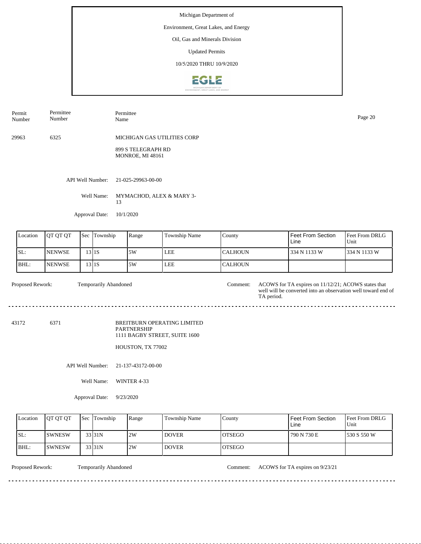## Environment, Great Lakes, and Energy

Oil, Gas and Minerals Division

Updated Permits

10/5/2020 THRU 10/9/2020



Permit Number Permittee Number Permittee Name Page 20

29963 6325 MICHIGAN GAS UTILITIES CORP

> 899 S TELEGRAPH RD MONROE, MI 48161

API Well Number: 21-025-29963-00-00

Well Name: MYMACHOD, ALEX & MARY 3-13

Approval Date: 10/1/2020

| Location | <b>OT OT OT</b> | <b>Sec Township</b> | Range | Township Name | County    | Feet From Section<br>Line | <b>Feet From DRLG</b><br>Unit |
|----------|-----------------|---------------------|-------|---------------|-----------|---------------------------|-------------------------------|
| ISL:     | <b>NENWSE</b>   | 311S                | .5W   | <b>LEE</b>    | ICALHOUN- | 1334 N 1133 W             | 334 N 1133 W                  |
| BHL:     | <b>INENWSE</b>  | 3 1S                | .5W   | <b>LEE</b>    | ICALHOUN  |                           |                               |

Temporarily Abandoned

Proposed Rework: Temporarily Abandoned Comment: ACOWS for TA expires on 11/12/21; ACOWS states that well will be converted into an observation well toward end of TA period.

<u>. . . . . . . .</u>

 $\sim$   $\sim$ 

43172 6371

BREITBURN OPERATING LIMITED PARTNERSHIP 1111 BAGBY STREET, SUITE 1600

HOUSTON, TX 77002

API Well Number: 21-137-43172-00-00

Well Name: WINTER 4-33

Approval Date: 9/23/2020

| Location | <b>IOT OT OT</b> | <b>Sec</b> Township | Range | Township Name | County         | Feet From Section<br>Line | <b>IFeet From DRLG</b><br>Unit |
|----------|------------------|---------------------|-------|---------------|----------------|---------------------------|--------------------------------|
| ISL:     | <b>SWNESW</b>    | 33 <sub>131</sub> N | 2W    | <b>DOVER</b>  | <b>IOTSEGO</b> | 790 N 730 E               | 1530 S 550 W                   |
| BHL:     | <b>ISWNESW</b>   | 33 31N              | 2W    | <b>DOVER</b>  | <b>IOTSEGO</b> |                           |                                |

Proposed Rework: Temporarily Abandoned Comment: ACOWS for TA expires on 9/23/21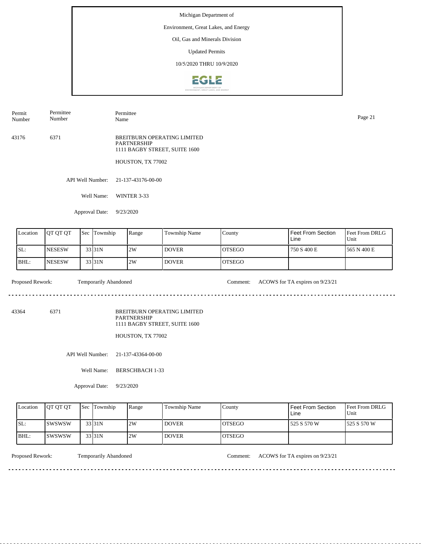## Environment, Great Lakes, and Energy

Oil, Gas and Minerals Division

Updated Permits

10/5/2020 THRU 10/9/2020



API Well Number: 21-137-43176-00-00 43176 6371 BREITBURN OPERATING LIMITED PARTNERSHIP 1111 BAGBY STREET, SUITE 1600 HOUSTON, TX 77002 Permit Number Permittee Number Permittee Name Page 21

Well Name: WINTER 3-33

Approval Date: 9/23/2020

| Location | <b>IOT OT OT</b> | Sec | Township | Range | Township Name | County         | Feet From Section<br>Line | Feet From DRLG<br>Unit |
|----------|------------------|-----|----------|-------|---------------|----------------|---------------------------|------------------------|
| SL:      | <b>INESESW</b>   |     | 33 31 N  | 2W    | <b>DOVER</b>  | <b>IOTSEGO</b> | 750 S 400 E               | 1565 N 400 E           |
| IBHL:    | <b>INESESW</b>   |     | 33 31 N  | 2W    | <b>DOVER</b>  | <b>IOTSEGO</b> |                           |                        |

 $\mathcal{L}^{\mathcal{L}}\left( \mathcal{L}^{\mathcal{L}}\left( \mathcal{L}^{\mathcal{L}}\right) \right) =\mathcal{L}^{\mathcal{L}}\left( \mathcal{L}^{\mathcal{L}}\right)$ 

Proposed Rework: Temporarily Abandoned Comment: ACOWS for TA expires on  $9/23/21$ 

43364 6371

BREITBURN OPERATING LIMITED PARTNERSHIP 1111 BAGBY STREET, SUITE 1600

HOUSTON, TX 77002

API Well Number: 21-137-43364-00-00

Well Name: BERSCHBACH 1-33

Approval Date: 9/23/2020

| Location | <b>IOT OT OT</b> | <b>Sec Township</b> | Range | <b>Township Name</b> | County         | Feet From Section<br>Line | <b>Feet From DRLG</b><br>Unit |
|----------|------------------|---------------------|-------|----------------------|----------------|---------------------------|-------------------------------|
| ISL:     | <b>ISWSWSW</b>   | 33 31N              | 2W    | <b>DOVER</b>         | IOTSEGO        | 525 S 570 W               | 1525 S 570 W                  |
| IBHL:    | ISWSWSW          | 33 31N              | 2W    | DOVER <sup>'</sup>   | <b>IOTSEGO</b> |                           |                               |

<u>. . . . . . . .</u>

Proposed Rework: Temporarily Abandoned Comment: ACOWS for TA expires on  $9/23/21$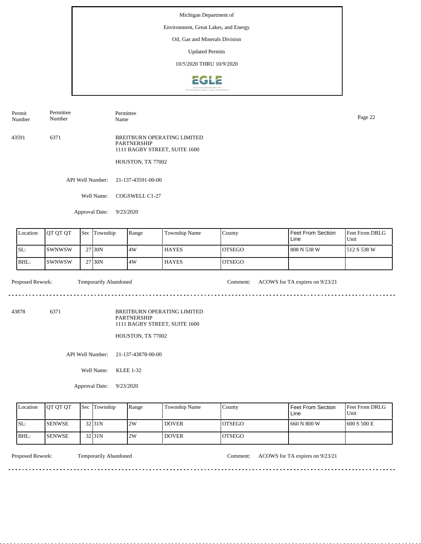# Environment, Great Lakes, and Energy

Oil, Gas and Minerals Division

Updated Permits

10/5/2020 THRU 10/9/2020



43591 6371 BREITBURN OPERATING LIMITED Permit Number Permittee Number Permittee Page 22<br>Name Page 22

PARTNERSHIP 1111 BAGBY STREET, SUITE 1600

HOUSTON, TX 77002

API Well Number: 21-137-43591-00-00

Well Name: COGSWELL C1-27

Approval Date: 9/23/2020

| Location | <b>IOT OT OT</b> | <b>Sec</b> Township | Range | <b>Township Name</b> | County         | Feet From Section<br>Line | Feet From DRLG<br>Unit |
|----------|------------------|---------------------|-------|----------------------|----------------|---------------------------|------------------------|
| ISL:     | ISWNWSW          | 27 30N              | 4W    | <b>HAYES</b>         | IOTSEGO        | 808 N 538 W               | 1512 S 538 W           |
| BHL:     | ISWNWSW          | 27 <sub>130</sub> N | 14W   | <b>HAYES</b>         | <b>IOTSEGO</b> |                           |                        |

 $\mathcal{L}^{\mathcal{L}}\left( \mathcal{L}^{\mathcal{L}}\left( \mathcal{L}^{\mathcal{L}}\right) \right) =\mathcal{L}^{\mathcal{L}}\left( \mathcal{L}^{\mathcal{L}}\right)$ 

Proposed Rework: Temporarily Abandoned Comment: ACOWS for TA expires on  $9/23/21$ 

43878 6371

BREITBURN OPERATING LIMITED PARTNERSHIP 1111 BAGBY STREET, SUITE 1600

HOUSTON, TX 77002

API Well Number: 21-137-43878-00-00

Well Name: KLEE 1-32

Approval Date: 9/23/2020

| Location | <b>IOT OT OT</b> | <b>Sec</b> Township | Range | <b>Township Name</b> | Countv         | Feet From Section<br>Line | <b>Feet From DRLG</b><br>Unit |
|----------|------------------|---------------------|-------|----------------------|----------------|---------------------------|-------------------------------|
| ISL:     | <b>ISENWSE</b>   | 32 <sub>31N</sub>   | 2W    | <b>DOVER</b>         | <b>IOTSEGO</b> | 1 660 N 800 W             | 1600 S 500 E                  |
| BHL:     | <b>ISENWSE</b>   | 32 <sub>31N</sub>   | 2W    | <b>DOVER</b>         | <b>IOTSEGO</b> |                           |                               |

<u>. . . . . . . .</u>

Proposed Rework: Temporarily Abandoned Comment: ACOWS for TA expires on  $9/23/21$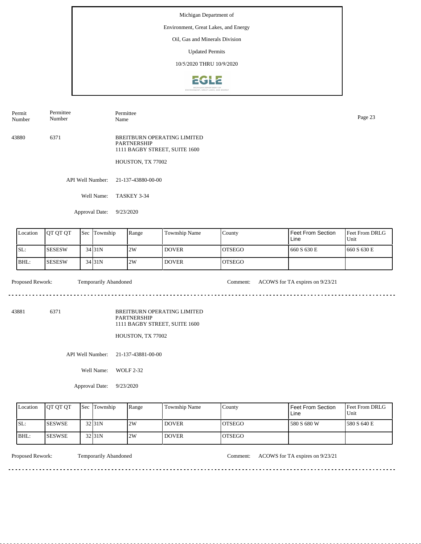## Environment, Great Lakes, and Energy

Oil, Gas and Minerals Division

Updated Permits

10/5/2020 THRU 10/9/2020



43880 6371 BREITBURN OPERATING LIMITED PARTNERSHIP 1111 BAGBY STREET, SUITE 1600 Permit Number Permittee Number Permittee Page 23<br>Name Page 23

HOUSTON, TX 77002

API Well Number: 21-137-43880-00-00

Well Name: TASKEY 3-34

Approval Date: 9/23/2020

| Location | <b>OT OT OT</b> | <b>Sec</b> | Township            | Range | <b>Township Name</b> | County         | <b>Feet From Section</b><br>Line | <b>IFeet From DRLG</b><br>Unit |
|----------|-----------------|------------|---------------------|-------|----------------------|----------------|----------------------------------|--------------------------------|
| SL:      | <b>SESESW</b>   |            | 34 <sub>131</sub> N | 2W    | <b>DOVER</b>         | <b>IOTSEGO</b> | 660 S 630 E                      | 660 S 630 E                    |
| IBHL:    | <b>SESESW</b>   |            | $34$ 31N            | 2W    | <b>DOVER</b>         | <b>IOTSEGO</b> |                                  |                                |

 $- - - - - -$ 

Proposed Rework: Temporarily Abandoned Comment: ACOWS for TA expires on  $9/23/21$ 

43881 6371

BREITBURN OPERATING LIMITED PARTNERSHIP 1111 BAGBY STREET, SUITE 1600

HOUSTON, TX 77002

API Well Number: 21-137-43881-00-00

Well Name: WOLF 2-32

Approval Date: 9/23/2020

| Location | <b>OT OT OT</b> | <b>Sec Township</b> | Range | Township Name | County         | Feet From Section<br>Line | <b>Feet From DRLG</b><br>Unit |
|----------|-----------------|---------------------|-------|---------------|----------------|---------------------------|-------------------------------|
| ISL:     | <b>ISESWSE</b>  | 32 31N              | 2W    | <b>DOVER</b>  | IOTSEGO        | 580 S 680 W               | 1580 S 640 E                  |
| IBHL:    | <b>ISESWSE</b>  | 32 <sub>31N</sub>   | 2W    | <b>DOVER</b>  | <b>IOTSEGO</b> |                           |                               |

. . . . . . . .

Proposed Rework: Temporarily Abandoned Comment: ACOWS for TA expires on  $9/23/21$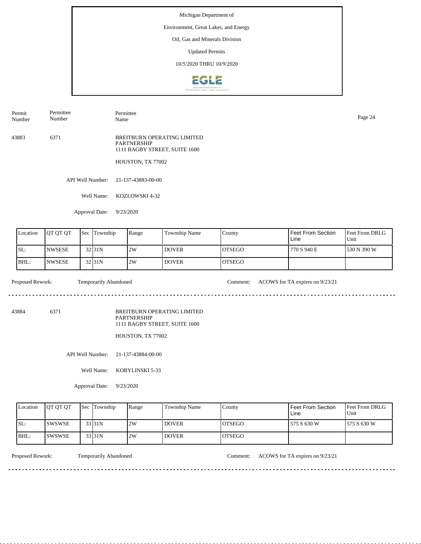# Environment, Great Lakes, and Energy

Oil, Gas and Minerals Division

Updated Permits

10/5/2020 THRU 10/9/2020



43883 6371 BREITBURN OPERATING LIMITED PARTNERSHIP 1111 BAGBY STREET, SUITE 1600 HOUSTON, TX 77002 Permit Number Permittee Number Permittee Name Page 24

API Well Number: 21-137-43883-00-00

Well Name: KOZLOWSKI 4-32

Approval Date: 9/23/2020

| Location | <b>IOT OT OT</b> | <b>Sec</b> | Township | Range | <b>Township Name</b> | County         | Feet From Section<br>Line | <b>Feet From DRLG</b><br>Unit |
|----------|------------------|------------|----------|-------|----------------------|----------------|---------------------------|-------------------------------|
| SL:      | <b>INWSESE</b>   |            | 32 31 N  | 2W    | <b>DOVER</b>         | IOTSEGO        | 770 S 940 E               | 530 N 390 W                   |
| IBHL:    | <b>INWSESE</b>   |            | 32 31 N  | 2W    | <b>DOVER</b>         | <b>IOTSEGO</b> |                           |                               |

Proposed Rework: Temporarily Abandoned Comment: ACOWS for TA expires on  $9/23/21$ 

 $\mathcal{L}^{\mathcal{L}}\left( \mathcal{L}^{\mathcal{L}}\left( \mathcal{L}^{\mathcal{L}}\right) \right) =\mathcal{L}^{\mathcal{L}}\left( \mathcal{L}^{\mathcal{L}}\right)$ 

43884 6371

BREITBURN OPERATING LIMITED PARTNERSHIP 1111 BAGBY STREET, SUITE 1600

HOUSTON, TX 77002

API Well Number: 21-137-43884-00-00

Well Name: KOBYLINSKI 5-33

Approval Date: 9/23/2020

| Location | <b>IOT OT OT</b> | <b>Sec Township</b> | Range | <b>Township Name</b> | County         | Feet From Section<br>∟ine | <b>Feet From DRLG</b><br>Unit |
|----------|------------------|---------------------|-------|----------------------|----------------|---------------------------|-------------------------------|
| ISL:     | <b>ISWSWSE</b>   | 33 31N              | 2W    | <b>DOVER</b>         | IOTSEGO        | 575 S 630 W               | 1575 S 630 W                  |
| IBHL:    | <b>ISWSWSE</b>   | 33 31N              | 2W    | <b>DOVER</b>         | <b>IOTSEGO</b> |                           |                               |

<u>. . . . . . . .</u>

Proposed Rework: Temporarily Abandoned Comment: ACOWS for TA expires on  $9/23/21$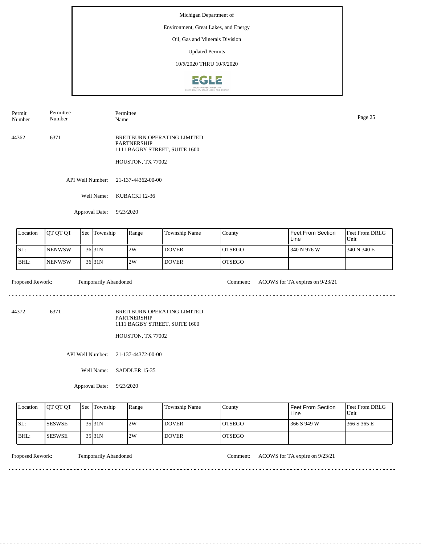## Environment, Great Lakes, and Energy

Oil, Gas and Minerals Division

Updated Permits

10/5/2020 THRU 10/9/2020



44362 6371 BREITBURN OPERATING LIMITED Permit Number Permittee Number Permittee Name Page 25

PARTNERSHIP 1111 BAGBY STREET, SUITE 1600

HOUSTON, TX 77002

API Well Number: 21-137-44362-00-00

Well Name: KUBACKI 12-36

Approval Date: 9/23/2020

| Location | <b>OT OT OT</b> | <b>Sec</b> | Township           | Range | <b>Township Name</b> | County         | Feet From Section<br>Line | <b>IFeet From DRLG</b><br>Unit |
|----------|-----------------|------------|--------------------|-------|----------------------|----------------|---------------------------|--------------------------------|
| SL:      | <b>INENWSW</b>  |            | 36 <sub>131N</sub> | 2W    | <b>DOVER</b>         | <b>IOTSEGO</b> | 340 N 976 W               | 1340 N 340 E                   |
| IBHL:    | <b>INENWSW</b>  |            | $36$ 31N           | 2W    | <b>DOVER</b>         | <b>IOTSEGO</b> |                           |                                |

Proposed Rework: Temporarily Abandoned Comment: ACOWS for TA expires on  $9/23/21$ 

 $\mathcal{L}^{\mathcal{L}}\left( \mathcal{L}^{\mathcal{L}}\left( \mathcal{L}^{\mathcal{L}}\right) \right) =\mathcal{L}^{\mathcal{L}}\left( \mathcal{L}^{\mathcal{L}}\right)$ 

<u>. . . . . . . . . . .</u>

44372 6371

BREITBURN OPERATING LIMITED PARTNERSHIP 1111 BAGBY STREET, SUITE 1600

HOUSTON, TX 77002

API Well Number: 21-137-44372-00-00

Well Name: SADDLER 15-35

Approval Date: 9/23/2020

| Location | <b>OT OT OT</b> | <b>Sec Township</b> | Range | Township Name | County         | Feet From Section<br>Line | <b>Feet From DRLG</b><br>Unit |
|----------|-----------------|---------------------|-------|---------------|----------------|---------------------------|-------------------------------|
| ISL:     | <b>ISESWSE</b>  | $35$ <sub>31N</sub> | 2W    | <b>DOVER</b>  | IOTSEGO        | 366 S 949 W               | 1366 S 365 E                  |
| IBHL:    | <b>ISESWSE</b>  | $35$ <sub>31N</sub> | 2W    | <b>DOVER</b>  | <b>IOTSEGO</b> |                           |                               |

<u>. . . . . . . .</u>

Proposed Rework: Temporarily Abandoned Comment: ACOWS for TA expire on  $9/23/21$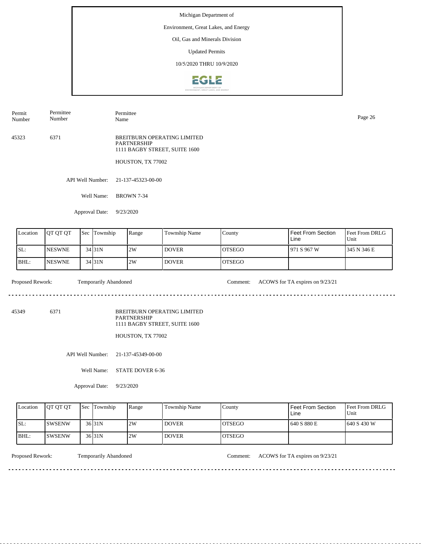# Environment, Great Lakes, and Energy

Oil, Gas and Minerals Division

Updated Permits

10/5/2020 THRU 10/9/2020



45323 6371 BREITBURN OPERATING LIMITED PARTNERSHIP 1111 BAGBY STREET, SUITE 1600 HOUSTON, TX 77002 Permit Number Permittee Number Permittee Name Page 26

API Well Number: 21-137-45323-00-00

Well Name: BROWN 7-34

Approval Date: 9/23/2020

| Location | <b>OT OT OT</b> | <b>Sec</b> | Township            | Range | <b>Township Name</b> | County         | Feet From Section<br>Line | <b>Feet From DRLG</b><br>Unit |
|----------|-----------------|------------|---------------------|-------|----------------------|----------------|---------------------------|-------------------------------|
| SL:      | <b>INESWNE</b>  |            | 34 <sub>131</sub> N | 2W    | <b>DOVER</b>         | <b>IOTSEGO</b> | 1971 S 967 W              | 1345 N 346 E                  |
| IBHL:    | <b>INESWNE</b>  |            | 34 31N              | 2W    | <b>DOVER</b>         | <b>IOTSEGO</b> |                           |                               |

Proposed Rework: Temporarily Abandoned Comment: ACOWS for TA expires on  $9/23/21$ 

 $\mathcal{L}^{\mathcal{L}}\left( \mathcal{L}^{\mathcal{L}}\left( \mathcal{L}^{\mathcal{L}}\right) \right) =\mathcal{L}^{\mathcal{L}}\left( \mathcal{L}^{\mathcal{L}}\right)$ 

45349 6371

BREITBURN OPERATING LIMITED PARTNERSHIP 1111 BAGBY STREET, SUITE 1600

HOUSTON, TX 77002

API Well Number: 21-137-45349-00-00

Well Name: STATE DOVER 6-36

Approval Date: 9/23/2020

| Location | <b>IOT OT OT</b> | <b>Sec Township</b> | Range | Township Name      | County         | Feet From Section<br>Line | <b>Feet From DRLG</b><br>Unit |
|----------|------------------|---------------------|-------|--------------------|----------------|---------------------------|-------------------------------|
| ISL:     | <b>ISWSENW</b>   | $36$ 31N            | 2W    | <b>DOVER</b>       | IOTSEGO        | 640 S 880 E               | 1640 S 430 W                  |
| IBHL:    | ISWSENW          | $36$ 31N            | 2W    | DOVER <sup>'</sup> | <b>IOTSEGO</b> |                           |                               |

Proposed Rework: Temporarily Abandoned Comment: ACOWS for TA expires on  $9/23/21$ 

<u>. . . . . . . .</u>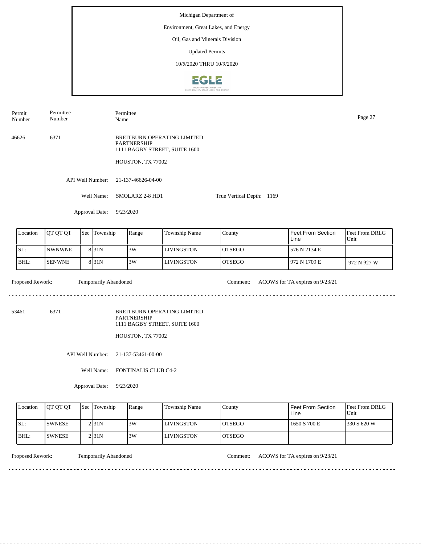Michigan Department of Environment, Great Lakes, and Energy Oil, Gas and Minerals Division Updated Permits 10/5/2020 THRU 10/9/2020**EGLE** 

Permit Number Permittee Number Permittee Name Page 27

46626 6371 BREITBURN OPERATING LIMITED PARTNERSHIP 1111 BAGBY STREET, SUITE 1600

HOUSTON, TX 77002

API Well Number: 21-137-46626-04-00

Well Name: SMOLARZ 2-8 HD1 True Vertical Depth: 1169

Approval Date: 9/23/2020

| Location | <b>OT OT OT</b> | 'Sec | Township         | Range | Township Name | County         | Feet From Section<br>Line | <b>Feet From DRLG</b><br>Unit |
|----------|-----------------|------|------------------|-------|---------------|----------------|---------------------------|-------------------------------|
| ISL:     | <b>INWNWNE</b>  |      | 8 <sub>31N</sub> | 3W    | LIVINGSTON    | IOTSEGO        | 576 N 2134 E              |                               |
| IBHL:    | <b>SENWNE</b>   |      | 8 <sub>31N</sub> | 3W    | LIVINGSTON    | <b>IOTSEGO</b> | 1972 N 1709 E             | 972 N 927 W                   |

Proposed Rework: Temporarily Abandoned Comment: ACOWS for TA expires on  $9/23/21$ Temporarily Abandoned

 $- - - - - -$ 

53461 6371

BREITBURN OPERATING LIMITED PARTNERSHIP 1111 BAGBY STREET, SUITE 1600

HOUSTON, TX 77002

API Well Number: 21-137-53461-00-00

Well Name: FONTINALIS CLUB C4-2

Approval Date: 9/23/2020

| Location | <b>IOT OT OT</b> | <b>Sec Township</b> | Range | Township Name     | County         | Feet From Section<br>Line | <b>Feet From DRLG</b><br>Unit |
|----------|------------------|---------------------|-------|-------------------|----------------|---------------------------|-------------------------------|
| ISL:     | <b>ISWNESE</b>   | 2 I 31 N            | 3W    | <b>LIVINGSTON</b> | <b>IOTSEGO</b> | 1650 S 700 E              | 1330 S 620 W                  |
| IBHL:    | <b>ISWNESE</b>   | 2 I 31 N            | 3W    | <b>LIVINGSTON</b> | <b>IOTSEGO</b> |                           |                               |

. . . . . . . .

Proposed Rework: Temporarily Abandoned Comment: ACOWS for TA expires on  $9/23/21$ 

. . . . . . . . . . . . . . . . . .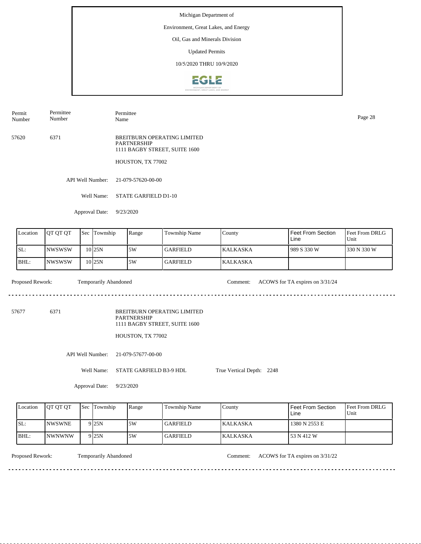# Environment, Great Lakes, and Energy

Oil, Gas and Minerals Division

Updated Permits

10/5/2020 THRU 10/9/2020



Permit Number Permittee Number

57620 6371

BREITBURN OPERATING LIMITED PARTNERSHIP 1111 BAGBY STREET, SUITE 1600

HOUSTON, TX 77002

API Well Number: 21-079-57620-00-00

Well Name: STATE GARFIELD D1-10

Permittee

Approval Date: 9/23/2020

| Location | <b>IOT OT OT</b> | $\text{Sec}$ | Township          | Range | <b>Township Name</b> | County           | Feet From Section<br>Line | <b>Feet From DRLG</b><br>Unit |
|----------|------------------|--------------|-------------------|-------|----------------------|------------------|---------------------------|-------------------------------|
| SL:      | <b>INWSWSW</b>   |              | 10 <sub>25N</sub> | 5W    | l GARFIELD-          | <b>IKALKASKA</b> | 1989 S 330 W              | 1330 N 330 W                  |
| BHL:     | <b>INWSWSW</b>   |              | 10 <sub>25N</sub> | .5W   | <b>GARFIELD</b>      | <b>KALKASKA</b>  |                           |                               |

Proposed Rework: Temporarily Abandoned Comment: ACOWS for TA expires on  $3/31/24$ 

 $\mathcal{L}^{\mathcal{L}}\left( \mathcal{L}^{\mathcal{L}}\left( \mathcal{L}^{\mathcal{L}}\right) \right) =\mathcal{L}^{\mathcal{L}}\left( \mathcal{L}^{\mathcal{L}}\right)$ 

57677 6371

BREITBURN OPERATING LIMITED PARTNERSHIP 1111 BAGBY STREET, SUITE 1600

HOUSTON, TX 77002

API Well Number: 21-079-57677-00-00

Well Name: STATE GARFIELD B3-9 HDL

True Vertical Depth: 2248

Approval Date: 9/23/2020

| Location | <b>IOT OT OT</b> | <b>Sec Township</b> | Range | <b>Township Name</b> | County           | <b>Feet From Section</b><br>∟ine | <b>Feet From DRLG</b><br>Unit |
|----------|------------------|---------------------|-------|----------------------|------------------|----------------------------------|-------------------------------|
| ISL:     | <b>INWSWNE</b>   | 9 <sub>25N</sub>    | .5W   | GARFIELD_            | <b>IKALKASKA</b> | 1380 N 2553 E                    |                               |
| BHL:     | <i>INWNWNW</i>   | 9 <sub>25N</sub>    | 5W    | GARFIELD_            | <b>KALKASKA</b>  | 53 N 412 W                       |                               |

<u>. . . . . . . .</u>

Temporarily Abandoned

Proposed Rework: Temporarily Abandoned Comment: ACOWS for TA expires on  $3/31/22$ 

Name Page 28

<u>. . . . . . . . . . .</u>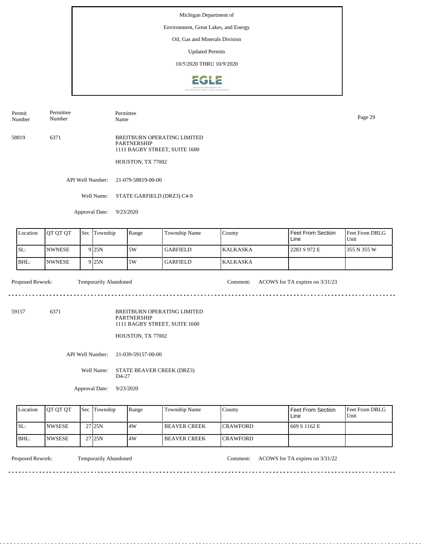# Environment, Great Lakes, and Energy

Oil, Gas and Minerals Division

Updated Permits

10/5/2020 THRU 10/9/2020



Permit Number Permittee Number

Permittee Name Page 29

58819 6371 BREITBURN OPERATING LIMITED PARTNERSHIP 1111 BAGBY STREET, SUITE 1600

HOUSTON, TX 77002

API Well Number: 21-079-58819-00-00

Well Name: STATE GARFIELD (DRZ3) C4-9

Approval Date: 9/23/2020

| Location | <b>OT OT OT</b> | <b>Sec</b> | Township         | Range | Township Name   | County           | Feet From Section<br>Line | <b>Feet From DRLG</b><br>Unit |
|----------|-----------------|------------|------------------|-------|-----------------|------------------|---------------------------|-------------------------------|
| ISL:     | <b>NWNESE</b>   |            | 9 <sub>25N</sub> | 5W    | GARFIELD        | <b>IKALKASKA</b> | 2283 S 972 E              | 1355 N 355 W                  |
| BHL:     | <b>NWNESE</b>   |            | 9 <sub>25N</sub> | 5W    | <b>GARFIELD</b> | <b>KALKASKA</b>  |                           |                               |

Proposed Rework: Temporarily Abandoned Comment: ACOWS for TA expires on  $3/31/23$ 

. . . . . . .

59157 6371

BREITBURN OPERATING LIMITED PARTNERSHIP 1111 BAGBY STREET, SUITE 1600

HOUSTON, TX 77002

API Well Number: 21-039-59157-00-00

Well Name: STATE BEAVER CREEK (DRZ3) D4-27

Approval Date: 9/23/2020

| Location | <b>OT OT OT</b> | <b>Sec</b> Township | Range | <b>Township Name</b> | Countv           | Feet From Section<br>Line | <b>Feet From DRLG</b><br>Unit |
|----------|-----------------|---------------------|-------|----------------------|------------------|---------------------------|-------------------------------|
| ISL:     | <b>INWSESE</b>  | 27 <sub>125N</sub>  | 4W    | <b>IBEAVER CREEK</b> | <b>ICRAWFORD</b> | 669 S 1162 E              |                               |
| BHL:     | <b>INWSESE</b>  | 27 <sub>125N</sub>  | 4W    | <b>IBEAVER CREEK</b> | <b>ICRAWFORD</b> |                           |                               |

<u>. . . . . . . . . . . . . . . . . . .</u>

Proposed Rework: Temporarily Abandoned Comment: ACOWS for TA expires on 3/31/22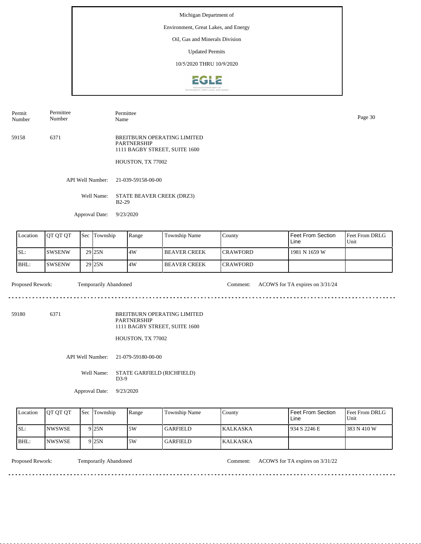## Environment, Great Lakes, and Energy

Oil, Gas and Minerals Division

Updated Permits

10/5/2020 THRU 10/9/2020



59158 6371 BREITBURN OPERATING LIMITED PARTNERSHIP 1111 BAGBY STREET, SUITE 1600 HOUSTON, TX 77002 Permit Number Permittee Number Permittee Name Page 30

API Well Number: 21-039-59158-00-00

Well Name: STATE BEAVER CREEK (DRZ3) B2-29

Approval Date: 9/23/2020

| Location | <b>OT OT OT</b> | <b>Sec Township</b> | Range | Township Name        | County           | Feet From Section<br>Line | <b>Feet From DRLG</b><br>Unit |
|----------|-----------------|---------------------|-------|----------------------|------------------|---------------------------|-------------------------------|
| SL:      | <b>SWSENW</b>   | 29 <sub>25N</sub>   | 14W   | <b>IBEAVER CREEK</b> | <b>ICRAWFORD</b> | 1981 N 1659 W             |                               |
| BHL:     | <b>ISWSENW</b>  | 29 <sub>25N</sub>   | .4W   | <b>IBEAVER CREEK</b> | <b>ICRAWFORD</b> |                           |                               |

59180 6371

<u>. . . . . . . . . . .</u>

Proposed Rework: Temporarily Abandoned Comment: ACOWS for TA expires on 3/31/24

<u>. . . . . . . . . . . . .</u>

 $- - - - - -$ 

BREITBURN OPERATING LIMITED

<u>. . . . . . .</u>

PARTNERSHIP 1111 BAGBY STREET, SUITE 1600

HOUSTON, TX 77002

API Well Number: 21-079-59180-00-00

Well Name: STATE GARFIELD (RICHFIELD) D3-9

Approval Date: 9/23/2020

| Location | <b>IOT OT OT</b> | <b>Sec</b> Township | Range | Township Name   | County           | Feet From Section<br>Line | <b>Feet From DRLG</b><br>Unit |
|----------|------------------|---------------------|-------|-----------------|------------------|---------------------------|-------------------------------|
| ISL:     | <b>INWSWSE</b>   | 9 25 N              | 5W    | GARFIELD        | <b>IKALKASKA</b> | 934 S 2246 E              | 1383 N 410 W                  |
| IBHL:    | <b>INWSWSE</b>   | 9 25 N              | 5W    | <b>GARFIELD</b> | <b>KALKASKA</b>  |                           |                               |

Proposed Rework: Temporarily Abandoned Comment: ACOWS for TA expires on  $3/31/22$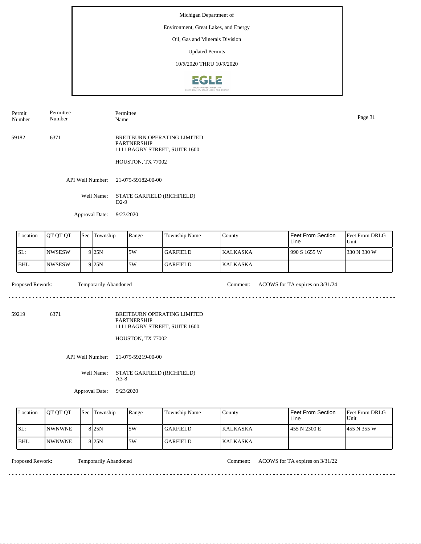## Environment, Great Lakes, and Energy

Oil, Gas and Minerals Division

Updated Permits

10/5/2020 THRU 10/9/2020



59182 6371 Permit Number Permittee Number Permittee Name Page 31

BREITBURN OPERATING LIMITED PARTNERSHIP 1111 BAGBY STREET, SUITE 1600

HOUSTON, TX 77002

API Well Number: 21-079-59182-00-00

Well Name: STATE GARFIELD (RICHFIELD) D2-9

Approval Date: 9/23/2020

| Location | <b>OT OT OT</b> | l Sec | Township         | Range | Township Name | County           | Feet From Section<br>Line | <b>Feet From DRLG</b><br>Unit |
|----------|-----------------|-------|------------------|-------|---------------|------------------|---------------------------|-------------------------------|
| SL:      | <b>NWSESW</b>   |       | 9 <sub>25N</sub> | ا 5W  | l GARFIELD    | <b>IKALKASKA</b> | 990 S 1655 W              | 330 N 330 W                   |
| BHL:     | INWSESW         |       | 9 <sub>25N</sub> | 5W    | l GARFIELD    | <b>KALKASKA</b>  |                           |                               |

59219 6371

. . . . . . . . . . . .

Proposed Rework: Temporarily Abandoned Comment: ACOWS for TA expires on 3/31/24

<u>. . . . . . . . . . . . . . .</u>

 $- - - - - -$ 

 $- - - - - -$ 

BREITBURN OPERATING LIMITED PARTNERSHIP 1111 BAGBY STREET, SUITE 1600

<u>. . . . . . .</u>

HOUSTON, TX 77002

API Well Number: 21-079-59219-00-00

Well Name: STATE GARFIELD (RICHFIELD) A3-8

Approval Date: 9/23/2020

| Location | <b>IOT OT OT</b> | <b>Sec</b> Township | Range | <b>Township Name</b> | Countv          | Feet From Section<br>Line | <b>Feet From DRLG</b><br>Unit |
|----------|------------------|---------------------|-------|----------------------|-----------------|---------------------------|-------------------------------|
| ISL:     | <b>INWNWNE</b>   | 8 25 N              | 5W    | <b>GARFIELD</b>      | <b>KALKASKA</b> | 1455 N 2300 E             | 1455 N 355 W                  |
| BHL:     | <b>INWNWNE</b>   | 8 25 N              | 5W    | GARFIELD             | <b>KALKASKA</b> |                           |                               |

Proposed Rework: Temporarily Abandoned Comment: ACOWS for TA expires on  $3/31/22$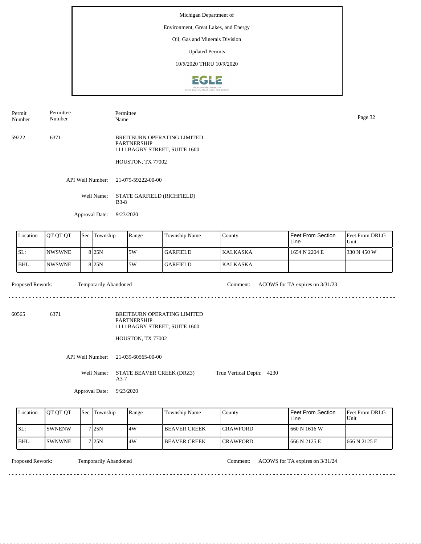## Environment, Great Lakes, and Energy

Oil, Gas and Minerals Division

Updated Permits

10/5/2020 THRU 10/9/2020



Permit Number Permittee Number Permittee Page 32<br>Name Page 32

59222 6371 BREITBURN OPERATING LIMITED PARTNERSHIP 1111 BAGBY STREET, SUITE 1600

HOUSTON, TX 77002

API Well Number: 21-079-59222-00-00

Well Name: STATE GARFIELD (RICHFIELD) B3-8

Approval Date: 9/23/2020

| Location | <b>OT OT OT</b> | l Sec | Township         | Range | Township Name | County           | Feet From Section<br>Line | <b>Feet From DRLG</b><br>Unit |
|----------|-----------------|-------|------------------|-------|---------------|------------------|---------------------------|-------------------------------|
| ISL:     | <b>INWSWNE</b>  |       | 8 <sub>25N</sub> | 5W    | l GARFIELD    | <b>IKALKASKA</b> | 1654 N 2204 E             | 1330 N 450 W                  |
| BHL:     | <b>INWSWNE</b>  |       | 8 <sub>25N</sub> | 5W    | l GARFIELD    | <b>KALKASKA</b>  |                           |                               |

. . . . . . . . . . . . . . . . . .

Proposed Rework: Temporarily Abandoned Comment: ACOWS for TA expires on 3/31/23

<u>. . . . . . . . . . . . .</u>

60565 6371

. . . . . . . . . . .

BREITBURN OPERATING LIMITED PARTNERSHIP

1111 BAGBY STREET, SUITE 1600

HOUSTON, TX 77002

 $\sim 1.1$  ,  $\sim$ 

API Well Number: 21-039-60565-00-00

Well Name: STATE BEAVER CREEK (DRZ3) A3-7 True Vertical Depth: 4230

Approval Date: 9/23/2020

| Location | <b>IOT OT OT</b> | <b>Sec</b> Township | Range | Township Name        | County           | Feet From Section<br>Line | Feet From DRLG<br>Unit |
|----------|------------------|---------------------|-------|----------------------|------------------|---------------------------|------------------------|
| ISL:     | <b>ISWNENW</b>   | 7 25N               | 4W    | <b>IBEAVER CREEK</b> | <b>ICRAWFORD</b> | 1660 N 1616 W             |                        |
| BHL:     | <b>ISWNWNE</b>   | 7 25N               | 4W    | <b>IBEAVER CREEK</b> | <b>ICRAWFORD</b> | 1666 N 2125 E             | 1666 N 2125 E          |

Temporarily Abandoned

Proposed Rework: Temporarily Abandoned Comment: ACOWS for TA expires on  $3/31/24$ 

 $- - - - - -$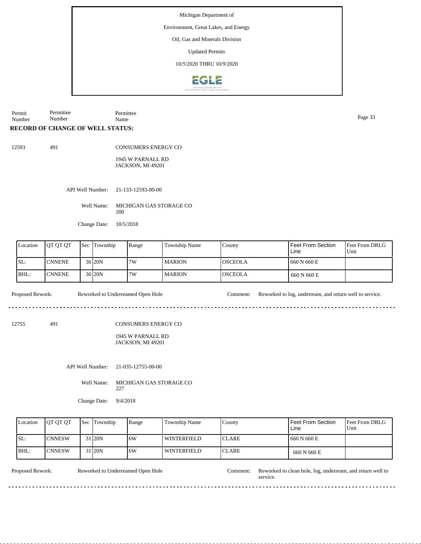Environment, Great Lakes, and Energy

Oil, Gas and Minerals Division

Updated Permits

10/5/2020 THRU 10/9/2020



Permit Number Permittee Number Permittee Page 33<br>Name Page 33

## **RECORD OF CHANGE OF WELL STATUS:**

491

| - - |
|-----|
|-----|

CONSUMERS ENERGY CO

1945 W PARNALL RD JACKSON, MI 49201

API Well Number: 21-133-12593-00-00

Well Name: MICHIGAN GAS STORAGE CO 200

Change Date: 10/5/2018

| Location | <b>IOT OT OT</b> | <b>Sec</b> | Township            | Range | Township Name | County         | Feet From Section<br>Line | <b>Feet From DRLG</b><br>Unit |
|----------|------------------|------------|---------------------|-------|---------------|----------------|---------------------------|-------------------------------|
| ISL:     | <b>CNNENE</b>    |            | 36 20N              | 7W    | <b>MARION</b> | IOSCEOLA       | 660 N 660 E               |                               |
| BHL:     | ICNNENE.         |            | 36 <sub>120</sub> N | 7W    | <b>MARION</b> | <b>OSCEOLA</b> | 660 N 660 E               |                               |

Proposed Rework: Reworked to Underreamed Open Hole Comment: Reworked to log, underream, and return well to service.

12755 491

CONSUMERS ENERGY CO

### 1945 W PARNALL RD JACKSON, MI 49201

API Well Number: 21-035-12755-00-00

Well Name: MICHIGAN GAS STORAGE CO 227

Change Date: 9/4/2018

| Location | <b>IOT OT OT</b> | <b>Sec</b> Township | Range | <b>Township Name</b> | County        | Feet From Section<br>Line | <b>Feet From DRLG</b><br>Unit |
|----------|------------------|---------------------|-------|----------------------|---------------|---------------------------|-------------------------------|
| ISL:     | <b>ICNNESW</b>   | 31 <sub>120</sub> N | .6W   | <b>WINTERFIELD</b>   | <b>CLARE</b>  | 660 N 660 E               |                               |
| BHL:     | <b>ICNNESW</b>   | 31 20N              | .6W   | WINTERFIELD          | <b>ICLARE</b> | 660 N 660 E               |                               |

Reworked to Underreamed Open Hole

Proposed Rework: Reworked to Underreamed Open Hole Comment: Reworked to clean hole, log, underream, and return well to service.

<u>. . . . . . . . . . . . . . . . .</u>

 $\frac{1}{2}$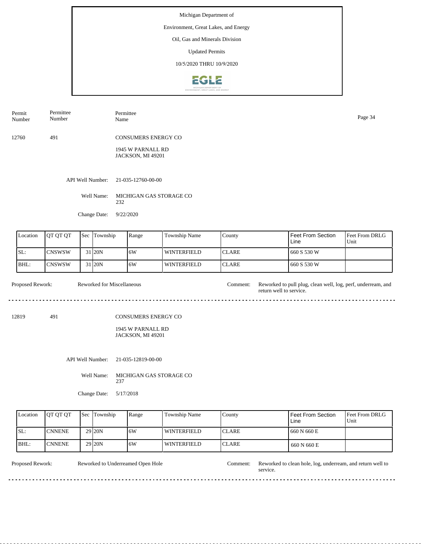## Environment, Great Lakes, and Energy

Oil, Gas and Minerals Division

Updated Permits

10/5/2020 THRU 10/9/2020



| Permit<br>Number | Permittee<br>Number | Permittee<br>Name                      | Page 34 |
|------------------|---------------------|----------------------------------------|---------|
| 12760            | 491                 | <b>CONSUMERS ENERGY CO</b>             |         |
|                  |                     | 1945 W PARNALL RD<br>JACKSON, MI 49201 |         |

API Well Number: 21-035-12760-00-00

Well Name: MICHIGAN GAS STORAGE CO 232

Change Date: 9/22/2020

| Location | <b>OT OT OT</b> | 'Sec | Township            | Range | <b>Township Name</b> | County        | l Feet From Section<br>Line | <b>IFeet From DRLG</b><br>Unit |
|----------|-----------------|------|---------------------|-------|----------------------|---------------|-----------------------------|--------------------------------|
| SL:      | <b>ICNSWSW</b>  |      | 31 20N              | 16W   | WINTERFIELD          | <b>ICLARE</b> | 1660 S 530 W                |                                |
| IBHL:    | ICNSWSW         |      | 31 <sub>120</sub> N | 16W   | <b>WINTERFIELD</b>   | <b>ICLARE</b> | 660 S 530 W                 |                                |

Proposed Rework: Reworked for Miscellaneous comment: Reworked to pull plug, clean well, log, perf, underream, and return well to service. Reworked for Miscellaneous Comment: 12819 491

### CONSUMERS ENERGY CO

1945 W PARNALL RD JACKSON, MI 49201

API Well Number: 21-035-12819-00-00

Well Name: MICHIGAN GAS STORAGE CO 237

Change Date: 5/17/2018

| Location | <b>IOT OT OT</b> | <b>Sec Township</b> | Range | Township Name      | County        | Feet From Section<br>Line | <b>Feet From DRLG</b><br>Unit |
|----------|------------------|---------------------|-------|--------------------|---------------|---------------------------|-------------------------------|
| SL:      | <b>CNNENE</b>    | 29 <sub>120</sub> N | 16W   | <b>WINTERFIELD</b> | <b>ICLARE</b> | 660 N 660 E               |                               |
| BHL:     | <b>CNNENE</b>    | 29 <sub>20N</sub>   | 16W   | l winterfield      | <b>ICLARE</b> | 660 N 660 E               |                               |

. . . . . . . . . . .

Reworked to Underreamed Open Hole

de de dec

Proposed Rework: Reworked to Underreamed Open Hole Comment: Reworked to clean hole, log, underream, and return well to service.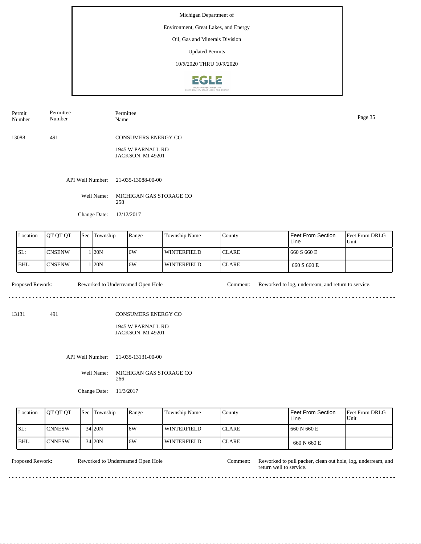## Environment, Great Lakes, and Energy

Oil, Gas and Minerals Division

Updated Permits

10/5/2020 THRU 10/9/2020



| Permit<br>Number | Permittee<br>Number | Permittee<br>Name          | Page 35 |
|------------------|---------------------|----------------------------|---------|
| 13088            | 491                 | <b>CONSUMERS ENERGY CO</b> |         |
|                  |                     | 1945 W PARNALL RD          |         |

API Well Number: 21-035-13088-00-00

Well Name: MICHIGAN GAS STORAGE CO 258

JACKSON, MI 49201

Change Date: 12/12/2017

| Location | <b>IOT OT OT</b> | <b>Sec</b> | Township     | Range | Township Name      | County        | <b>Feet From Section</b><br>Line | <b>Feet From DRLG</b><br>Unit |
|----------|------------------|------------|--------------|-------|--------------------|---------------|----------------------------------|-------------------------------|
| SL:      | <b>CNSENW</b>    |            | $\sqrt{20N}$ | 6W    | <b>WINTERFIELD</b> | <b>ICLARE</b> | 660 S 660 E                      |                               |
| BHL:     | <b>CNSENW</b>    |            | 120N         | 6W    | <b>WINTERFIELD</b> | <b>ICLARE</b> | 660 S 660 E                      |                               |

Proposed Rework: Reworked to Underreamed Open Hole Comment: Reworked to log, underream, and return to service.

13131 491

CONSUMERS ENERGY CO

1945 W PARNALL RD JACKSON, MI 49201

API Well Number: 21-035-13131-00-00

Well Name: MICHIGAN GAS STORAGE CO 266

Change Date: 11/3/2017

| Location | <b>IOT OT OT</b> | <b>Sec Township</b> | Range | Township Name      | Countv        | <b>Feet From Section</b><br>Line | <b>Feet From DRLG</b><br>Unit |
|----------|------------------|---------------------|-------|--------------------|---------------|----------------------------------|-------------------------------|
| SL:      | <b>ICNNESW</b>   | 34 20N              | 16W   | <b>WINTERFIELD</b> | <b>ICLARE</b> | 1660 N 660 E                     |                               |
| BHL:     | <b>ICNNESW</b>   | 34 20N              | .6W   | <b>WINTERFIELD</b> | <b>ICLARE</b> | 660 N 660 E                      |                               |

Reworked to Underreamed Open Hole

Proposed Rework: Reworked to Underreamed Open Hole Comment: Reworked to pull packer, clean out hole, log, underream, and return well to service.

<u>. . . . . . . . . .</u>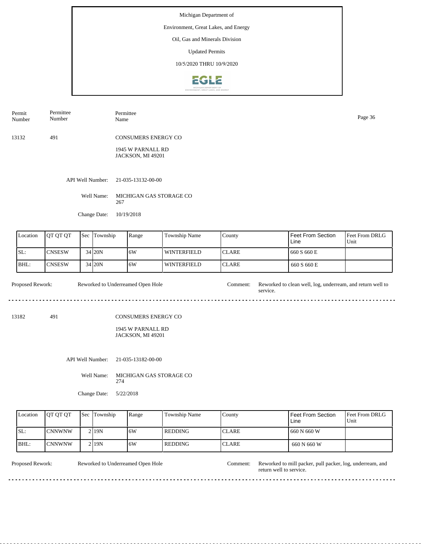## Environment, Great Lakes, and Energy

Oil, Gas and Minerals Division

Updated Permits

10/5/2020 THRU 10/9/2020



| Permit<br>Number | Permittee<br>Number | Permittee<br>Name                             | Page 36 |
|------------------|---------------------|-----------------------------------------------|---------|
| 13132            | 491                 | <b>CONSUMERS ENERGY CO</b>                    |         |
|                  |                     | 1945 W PARNALL RD<br><b>JACKSON, MI 49201</b> |         |
|                  | API Well Number:    | 21-035-13132-00-00                            |         |
|                  | Well Name:          | MICHIGAN GAS STORAGE CO<br>267                |         |
|                  | Change Date:        | 10/19/2018                                    |         |

| Location | <b>IOT OT OT</b> | <b>Sec Township</b> | Range | Township Name      | County        | Feet From Section<br>Line | <b>IFeet From DRLG</b><br>Unit |
|----------|------------------|---------------------|-------|--------------------|---------------|---------------------------|--------------------------------|
| SL:      | <b>ICNSESW</b>   | 34 20N              | 16W   | l winterfield      | <b>ICLARE</b> | 660 S 660 E               |                                |
| BHL:     | <b>ICNSESW</b>   | 34 20N              | 16W   | <b>WINTERFIELD</b> | <b>ICLARE</b> | 660 S 660 E               |                                |

Proposed Rework: Reworked to Underreamed Open Hole Comment: Reworked to clean well, log, underream, and return well to service. Reworked to Underreamed Open Hole

13182 491

### CONSUMERS ENERGY CO

1945 W PARNALL RD JACKSON, MI 49201

API Well Number: 21-035-13182-00-00

Well Name: MICHIGAN GAS STORAGE CO 274

Change Date: 5/22/2018

| Location | <b>IOT OT OT</b> | <b>Sec Township</b> | Range | Township Name | County        | Feet From Section<br>Line | <b>Feet From DRLG</b><br>Unit |
|----------|------------------|---------------------|-------|---------------|---------------|---------------------------|-------------------------------|
| SL:      | CNNWNW           | 2 19N               | 16W   | l REDDING     | <b>CLARE</b>  | 660 N 660 W               |                               |
| BHL:     | ICNNWNW          | 2119N               | ۱6W   | REDDING       | <b>ICLARE</b> | 660 N 660 W               |                               |

Reworked to Underreamed Open Hole

<u>o dio dio d</u>

Proposed Rework: Reworked to Underreamed Open Hole Comment: Reworked to mill packer, pull packer, log, underream, and return well to service.

 $\overline{1}$ 

<u>. . . . . . .</u>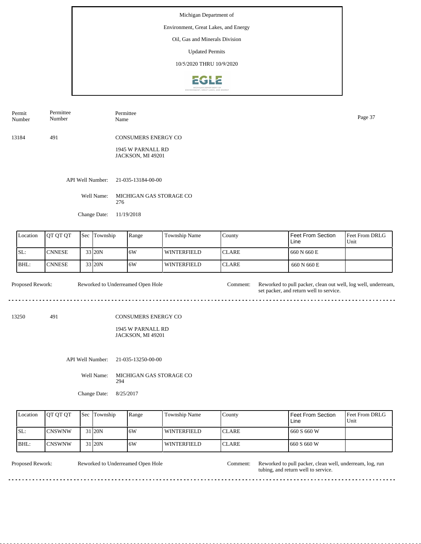## Environment, Great Lakes, and Energy

Oil, Gas and Minerals Division

Updated Permits

10/5/2020 THRU 10/9/2020



| Permit<br>Number | Permittee<br>Number | Permittee<br>Name                      | Page 37 |
|------------------|---------------------|----------------------------------------|---------|
| 13184            | 491                 | <b>CONSUMERS ENERGY CO</b>             |         |
|                  |                     | 1945 W PARNALL RD<br>JACKSON, MI 49201 |         |
|                  | API Well Number:    | 21-035-13184-00-00                     |         |

Well Name: MICHIGAN GAS STORAGE CO 276

Change Date: 11/19/2018

| Location | <b>OT OT OT</b> | <b>Sec</b> Township | Range | <b>Township Name</b> | County        | Feet From Section<br>Line | Feet From DRLG<br>Unit |
|----------|-----------------|---------------------|-------|----------------------|---------------|---------------------------|------------------------|
| ISL:     | <b>CNNESE</b>   | 33 20N              | 16W   | l winterfield        | ICLARE        | 660 N 660 E               |                        |
| BHL:     | <b>ICNNESE</b>  | 33 20N              | 16W   | l winterfield        | <b>ICLARE</b> | 660 N 660 E               |                        |

Proposed Rework: Reworked to Underreamed Open Hole Comment: Reworked to pull packer, clean out well, log well, underream, set packer, and return well to service. Reworked to Underreamed Open Hole

13250 491

### CONSUMERS ENERGY CO

1945 W PARNALL RD JACKSON, MI 49201

API Well Number: 21-035-13250-00-00

Well Name: MICHIGAN GAS STORAGE CO 294

Change Date: 8/25/2017

| Location | <b>IOT OT OT</b> | <b>Sec Township</b> | Range | <b>Township Name</b> | County        | Feet From Section<br>Line | Feet From DRLG<br>Unit |
|----------|------------------|---------------------|-------|----------------------|---------------|---------------------------|------------------------|
| SL:      | <b>CNSWNW</b>    | 31 20N              | 16W   | WINTERFIELD          | <b>ICLARE</b> | 660 S 660 W               |                        |
| BHL:     | CNSWNW           | 31 20N              | ۱6W   | <b>WINTERFIELD</b>   | <b>ICLARE</b> | 660 S 660 W               |                        |

Reworked to Underreamed Open Hole

Proposed Rework: Reworked to Underreamed Open Hole Comment: Reworked to pull packer, clean well, underream, log, run tubing, and return well to service.

 $\overline{a}$ .

. . . . . . . . .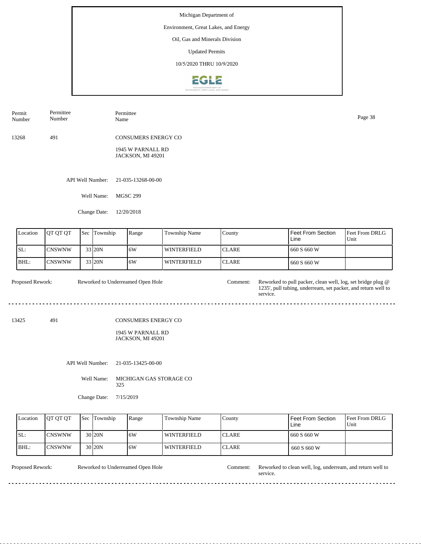## Environment, Great Lakes, and Energy

Oil, Gas and Minerals Division

Updated Permits

10/5/2020 THRU 10/9/2020



| Permit<br>Number | Permittee<br>Number |     |                  | Permittee<br>Name                               |                    |              |                           | Page 38                |  |  |
|------------------|---------------------|-----|------------------|-------------------------------------------------|--------------------|--------------|---------------------------|------------------------|--|--|
| 13268            | 491                 |     |                  | <b>CONSUMERS ENERGY CO</b><br>1945 W PARNALL RD |                    |              |                           |                        |  |  |
|                  |                     |     |                  | JACKSON, MI 49201                               |                    |              |                           |                        |  |  |
|                  |                     |     | API Well Number: | 21-035-13268-00-00                              |                    |              |                           |                        |  |  |
|                  |                     |     | Well Name:       | <b>MGSC 299</b>                                 |                    |              |                           |                        |  |  |
|                  | Change Date:        |     |                  | 12/20/2018                                      |                    |              |                           |                        |  |  |
| Location         | QT QT QT            | Sec | Township         | Range                                           | Township Name      | County       | Feet From Section<br>Line | Feet From DRLG<br>Unit |  |  |
| SL:              | <b>CNSWNW</b>       |     | 33 20N           | 6W                                              | <b>WINTERFIELD</b> | <b>CLARE</b> | 660 S 660 W               |                        |  |  |
| BHL:             | <b>CNSWNW</b>       |     | 33 20N           | 6W                                              | <b>WINTERFIELD</b> | <b>CLARE</b> | 660 S 660 W               |                        |  |  |

Proposed Rework: Reworked to pull packer, clean well, log, set bridge plug @ 1235', pull tubing, underream, set packer, and return well to service. Reworked to Underreamed Open Hole

13425 491

CONSUMERS ENERGY CO

1945 W PARNALL RD JACKSON, MI 49201

API Well Number: 21-035-13425-00-00

Well Name: MICHIGAN GAS STORAGE CO 325

Change Date: 7/15/2019

| Location | <b>OT OT OT</b> | <b>Sec</b> Township | Range | Township Name      | County        | Feet From Section<br>Line | <b>IFeet From DRLG</b><br>Unit |
|----------|-----------------|---------------------|-------|--------------------|---------------|---------------------------|--------------------------------|
| ISL:     | <b>ICNSWNW</b>  | 30 <sub>120</sub> N | 16W   | WINTERFIELD        | <b>ICLARE</b> | 1660 S 660 W              |                                |
| BHL:     | <b>ICNSWNW</b>  | 30 <sub>120</sub> N | .6W   | <b>WINTERFIELD</b> | <b>ICLARE</b> | 660 S 660 W               |                                |

Reworked to Underreamed Open Hole

Proposed Rework: Reworked to Underreamed Open Hole Comment: Reworked to clean well, log, underream, and return well to service.

 $\overline{a}$  .  $\overline{a}$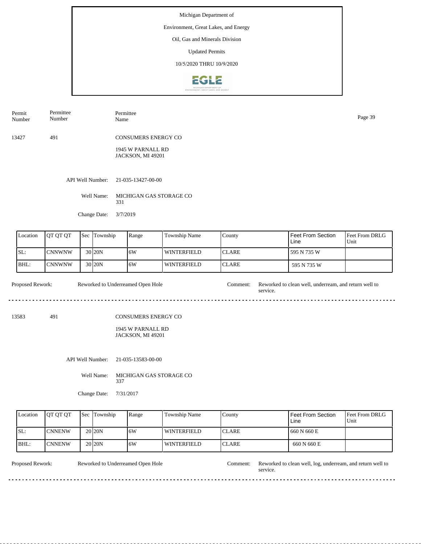## Environment, Great Lakes, and Energy

Oil, Gas and Minerals Division

Updated Permits

10/5/2020 THRU 10/9/2020



| Permit<br>Number | Permittee<br>Number | Permittee<br>Name                      | Page 39 |
|------------------|---------------------|----------------------------------------|---------|
| 13427            | 491                 | CONSUMERS ENERGY CO                    |         |
|                  |                     | 1945 W PARNALL RD<br>JACKSON, MI 49201 |         |

API Well Number: 21-035-13427-00-00

Well Name: MICHIGAN GAS STORAGE CO 331

Change Date: 3/7/2019

| Location | <b>OT OT OT</b> | <b>Sec</b> | Township           | Range | Township Name      | County        | Feet From Section<br>Line | <b>Feet From DRLG</b><br>Unit |
|----------|-----------------|------------|--------------------|-------|--------------------|---------------|---------------------------|-------------------------------|
| SL:      | <b>CNNWNW</b>   |            | 30 <b>20 N</b>     | 16W   | WINTERFIELD        | <b>ICLARE</b> | 595 N 735 W               |                               |
| IBHL:    | <b>CNNWNW</b>   |            | 30 <sub>120N</sub> | 16W   | <b>WINTERFIELD</b> | <b>ICLARE</b> | 595 N 735 W               |                               |

Proposed Rework: Reworked to clean well, underream, and return well to service. Reworked to Underreamed Open Hole

13583 491

CONSUMERS ENERGY CO

1945 W PARNALL RD JACKSON, MI 49201

API Well Number: 21-035-13583-00-00

Well Name: MICHIGAN GAS STORAGE CO 337

Change Date: 7/31/2017

| Location | <b>IOT OT OT</b> | <b>Sec Township</b> | Range | Township Name      | County        | Feet From Section<br>Line | <b>Feet From DRLG</b><br>Unit |
|----------|------------------|---------------------|-------|--------------------|---------------|---------------------------|-------------------------------|
| SL:      | <b>CNNENW</b>    | 20 <sub>120</sub> N | 16W   | <b>WINTERFIELD</b> | <b>ICLARE</b> | 660 N 660 E               |                               |
| BHL:     | <b>CNNENW</b>    | 20 <sub>20</sub> N  | 16W   | l winterfield      | <b>ICLARE</b> | 660 N 660 E               |                               |

Reworked to Underreamed Open Hole

<u>. . . . . . . . .</u>

Proposed Rework: Reworked to Underreamed Open Hole Comment: Reworked to clean well, log, underream, and return well to service.

. . . . . . . . . . .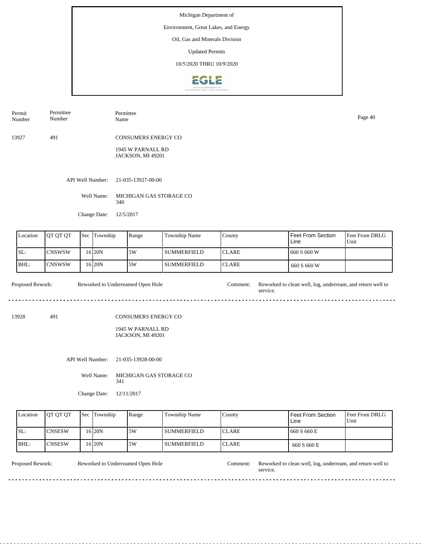## Environment, Great Lakes, and Energy

Oil, Gas and Minerals Division

Updated Permits

10/5/2020 THRU 10/9/2020



| Permit<br>Number | Permittee<br>Number | Permittee<br>Name                      | Page 40 |
|------------------|---------------------|----------------------------------------|---------|
| 13927            | 491                 | <b>CONSUMERS ENERGY CO</b>             |         |
|                  |                     | 1945 W PARNALL RD<br>JACKSON, MI 49201 |         |
|                  |                     | API Well Number: 21-035-13927-00-00    |         |
|                  | Well Name:          | MICHIGAN GAS STORAGE CO<br>340         |         |
|                  | Change Date:        | 12/5/2017                              |         |

| Location | <b>JOT OT OT</b> | Sec | Township  | Range | Township Name | County        | ' Feet From Section<br>Line | <b>Feet From DRLG</b><br>Unit |
|----------|------------------|-----|-----------|-------|---------------|---------------|-----------------------------|-------------------------------|
| ISL:     | ICNSWSW          |     | 16 I 20 N | 5W    | l summerfield | ICLARE        | 660 S 660 W                 |                               |
| BHL:     | ICNSWSW          |     | 16 I 20 N | 5W    | l SUMMERFIELD | <b>ICLARE</b> | 660 S 660 W                 |                               |

Proposed Rework: Reworked to Underreamed Open Hole Comment: Reworked to clean well, log, underream, and return well to Reworked to Underreamed Open Hole service.  $\sim$ 

13928 491

### CONSUMERS ENERGY CO

1945 W PARNALL RD JACKSON, MI 49201

API Well Number: 21-035-13928-00-00

Well Name: MICHIGAN GAS STORAGE CO 341

Change Date: 12/11/2017

| Location | <b>OT OT OT</b> | <b>Sec Township</b> | Range | <b>Township Name</b> | County        | Feet From Section<br>Line | <b>Feet From DRLG</b><br>Unit |
|----------|-----------------|---------------------|-------|----------------------|---------------|---------------------------|-------------------------------|
| SL:      | <b>CNSESW</b>   | 16 20N              | ا 5W  | l summerfield        | <b>ICLARE</b> | 660 S 660 E               |                               |
| BHL:     | <b>ICNSESW</b>  | $16$  20N           | ا 5W  | l summerfield        | <b>ICLARE</b> | 660 S 660 E               |                               |

Reworked to Underreamed Open Hole

<u>o dio dio dio d</u>

Proposed Rework: Reworked to Underreamed Open Hole Comment: Reworked to clean well, log, underream, and return well to service.

 $\overline{a}$  .  $\overline{a}$ 

. . . . . . . . .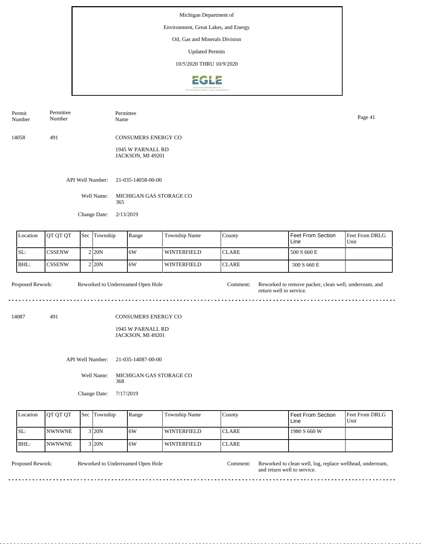## Environment, Great Lakes, and Energy

Oil, Gas and Minerals Division

Updated Permits

10/5/2020 THRU 10/9/2020



| Permit<br>Number | Permittee<br>Number | Permittee<br>Name                      | Page 41 |
|------------------|---------------------|----------------------------------------|---------|
| 14058            | 491                 | <b>CONSUMERS ENERGY CO</b>             |         |
|                  |                     | 1945 W PARNALL RD<br>JACKSON, MI 49201 |         |
|                  | API Well Number:    | 21-035-14058-00-00                     |         |
|                  | Well Name:          | MICHIGAN GAS STORAGE CO<br>365         |         |

Change Date: 2/13/2019

| Location | JOT OT OT      | 'Sec | Township            | Range | <b>Township Name</b> | County        | l Feet From Section<br>Line | <b>IFeet From DRLG</b><br>Unit |
|----------|----------------|------|---------------------|-------|----------------------|---------------|-----------------------------|--------------------------------|
| ISL:     | <b>ICSSENW</b> |      | $2$ <sub>20</sub> N | 16W   | l winterfield        | <b>ICLARE</b> | 500 S 660 E                 |                                |
| IBHL:    | <b>CSSENW</b>  |      | 2 I20N              | 16W   | <b>WINTERFIELD</b>   | <b>ICLARE</b> | 500 S 660 E                 |                                |

Proposed Rework: Reworked to Underreamed Open Hole Comment: Reworked to remove packer, clean well, underream, and Reworked to Underreamed Open Hole return well to service.  $- - -$ 

14087 491

### CONSUMERS ENERGY CO

1945 W PARNALL RD JACKSON, MI 49201

API Well Number: 21-035-14087-00-00

Well Name: MICHIGAN GAS STORAGE CO 368

Change Date: 7/17/2019

| Location | <b>IOT OT OT</b>      | <b>Sec Township</b> | Range | <b>Township Name</b> | County        | Feet From Section<br>Line | Feet From DRLG<br>Unit |
|----------|-----------------------|---------------------|-------|----------------------|---------------|---------------------------|------------------------|
| ISL:     | <i><b>INWNWNE</b></i> | $3$ <sub>20</sub> N | 16W   | <b>WINTERFIELD</b>   | <b>ICLARE</b> | 1980 S 660 W              |                        |
| BHL:     | <b>NWNWNE</b>         | $3$ <sub>20</sub> N | ۱6W   | WINTERFIELD          | <b>ICLARE</b> |                           |                        |

Reworked to Underreamed Open Hole

Proposed Rework: Reworked to Underreamed Open Hole Comment: Reworked to clean well, log, replace wellhead, underream, and return well to service.

 $\sim$   $\sim$   $\sim$ 

 $\overline{a}$ <u>. . . . . . . . .</u>  $\mathbf{r}$  $\sim$   $\sim$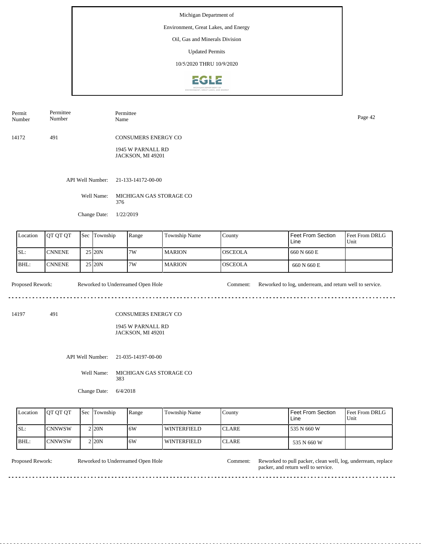## Environment, Great Lakes, and Energy

Oil, Gas and Minerals Division

Updated Permits

10/5/2020 THRU 10/9/2020



| Permit<br>Number | Permittee<br>Number | Permittee<br>Name   | Page 42 |
|------------------|---------------------|---------------------|---------|
| 14172            | 491                 | CONSUMERS ENERGY CO |         |
|                  |                     | 1945 W PARNALL RD   |         |

API Well Number: 21-133-14172-00-00

Well Name: MICHIGAN GAS STORAGE CO 376

JACKSON, MI 49201

Change Date: 1/22/2019

| Location | <b>IOT OT OT</b> | <b>Sec Township</b> | Range | Township Name | County          | Feet From Section<br>Line | <b>Feet From DRLG</b><br>Unit |
|----------|------------------|---------------------|-------|---------------|-----------------|---------------------------|-------------------------------|
| ISL:     | <b>CNNENE</b>    | 25 20N              | 7W    | I MARION      | IOSCEOLA        | 660 N 660 E               |                               |
| BHL:     | <b>ICNNENE</b>   | 25 20N              | 7W    | l MARION      | <b>IOSCEOLA</b> | 660 N 660 E               |                               |

Proposed Rework: Reworked to Underreamed Open Hole Comment: Reworked to log, underream, and return well to service.

<u>. . . . . .</u>

14197 491

CONSUMERS ENERGY CO

1945 W PARNALL RD JACKSON, MI 49201

API Well Number: 21-035-14197-00-00

Well Name: MICHIGAN GAS STORAGE CO 383

Change Date: 6/4/2018

| Location | <b>OT OT OT</b> | <b>Sec Township</b> | Range | Township Name      | County        | Feet From Section<br>Line | <b>IFeet From DRLG</b><br>Unit |
|----------|-----------------|---------------------|-------|--------------------|---------------|---------------------------|--------------------------------|
| ISL:     | <b>ICNNWSW</b>  | 2 20N               | 6W    | <b>WINTERFIELD</b> | <b>ICLARE</b> | 535 N 660 W               |                                |
| IBHL:    | <b>ICNNWSW</b>  | 2 20N               | 6W    | <b>WINTERFIELD</b> | <b>ICLARE</b> | 535 N 660 W               |                                |

Reworked to Underreamed Open Hole

Proposed Rework: Reworked to Underreamed Open Hole Comment: Reworked to pull packer, clean well, log, underream, replace packer, and return well to service.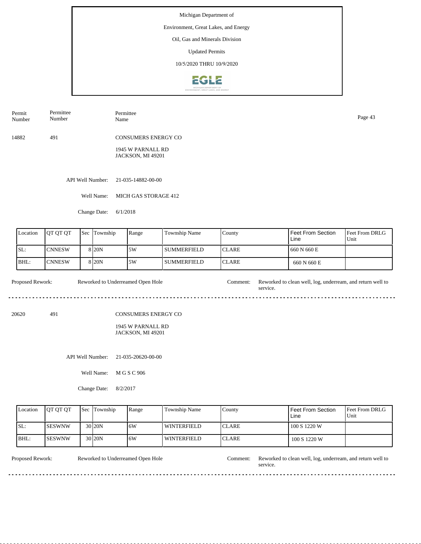## Environment, Great Lakes, and Energy

Oil, Gas and Minerals Division

Updated Permits

10/5/2020 THRU 10/9/2020



| Permit | Permittee | Permittee                  | Page 43 |
|--------|-----------|----------------------------|---------|
| Number | Number    | Name                       |         |
| 14882  | 491       | <b>CONSUMERS ENERGY CO</b> |         |

1945 W PARNALL RD JACKSON, MI 49201

API Well Number: 21-035-14882-00-00

Well Name: MICH GAS STORAGE 412

Change Date: 6/1/2018

| Location | <b>IOT OT OT</b> | l Sec | Township          | Range | Township Name | County        | Feet From Section<br>Line | <b>Feet From DRLG</b><br>Unit |
|----------|------------------|-------|-------------------|-------|---------------|---------------|---------------------------|-------------------------------|
| SL:      | <b>CNNESW</b>    |       | 8 <sub>20</sub> N | .5W   | l summerfield | <b>ICLARE</b> | 660 N 660 E               |                               |
| BHL:     | <b>CNNESW</b>    |       | 8 <sub>20</sub> N | 5W    | SUMMERFIELD   | <b>ICLARE</b> | 660 N 660 E               |                               |

Proposed Rework: Reworked to Underreamed Open Hole Comment: Reworked to clean well, log, underream, and return well to Reworked to Underreamed Open Hole service. . . . . . . . . . . . . . . . . . . . . .................................... 

20620 491

CONSUMERS ENERGY CO

1945 W PARNALL RD JACKSON, MI 49201

API Well Number: 21-035-20620-00-00

Well Name: M G S C 906

Change Date: 8/2/2017

| Location | <b>OT OT OT</b> | <b>Sec Township</b> | Range | Township Name      | County        | Feet From Section<br>Line | <b>Feet From DRLG</b><br>Unit |
|----------|-----------------|---------------------|-------|--------------------|---------------|---------------------------|-------------------------------|
| SL:      | <b>ISESWNW</b>  | 30 <sub>20N</sub>   | 16W   | <b>WINTERFIELD</b> | <b>ICLARE</b> | 100 S 1220 W              |                               |
| IBHL:    | <b>ISESWNW</b>  | 30 <sub>20N</sub>   | 16W   | WINTERFIELD        | <b>ICLARE</b> | 100 S 1220 W              |                               |

<u>. . . . . . . .</u>

Reworked to Underreamed Open Hole

Proposed Rework: Reworked to Underreamed Open Hole Comment: Reworked to clean well, log, underream, and return well to service.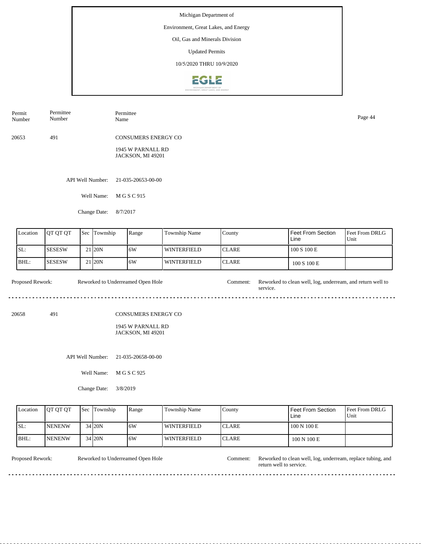## Environment, Great Lakes, and Energy

Oil, Gas and Minerals Division

Updated Permits

10/5/2020 THRU 10/9/2020



| Permit<br>Number | Permittee<br>Number | Permittee<br>Name                      | Page 44 |
|------------------|---------------------|----------------------------------------|---------|
| 20653            | 491                 | <b>CONSUMERS ENERGY CO</b>             |         |
|                  |                     | 1945 W PARNALL RD<br>JACKSON, MI 49201 |         |
|                  |                     | API Well Number: 21-035-20653-00-00    |         |
|                  | Well Name:          | M G S C 915                            |         |

Change Date: 8/7/2017

| Location | <b>IOT OT OT</b> | <b>Sec</b> | Township            | Range | Township Name      | County        | Feet From Section<br>Line | <b>Feet From DRLG</b><br>Unit |
|----------|------------------|------------|---------------------|-------|--------------------|---------------|---------------------------|-------------------------------|
| ISL:     | <b>SESESW</b>    |            | 21 <sub>120</sub> N | 16W   | WINTERFIELD        | ICLARE        | 100 S 100 E               |                               |
| BHL:     | <b>SESESW</b>    |            | 21 <sub>120</sub> N | 16W   | <b>WINTERFIELD</b> | <b>ICLARE</b> | 100 S 100 E               |                               |

Proposed Rework: Reworked to Underreamed Open Hole Comment: Reworked to clean well, log, underream, and return well to Reworked to Underreamed Open Hole service. 

20658 491

CONSUMERS ENERGY CO

1945 W PARNALL RD JACKSON, MI 49201

API Well Number: 21-035-20658-00-00

Well Name: M G S C 925

Change Date: 3/8/2019

| Location | <b>IOT OT OT</b> | <b>Sec Township</b> | Range | Township Name      | County        | <sup>1</sup> Feet From Section<br>Line | <b>Feet From DRLG</b><br>Unit |
|----------|------------------|---------------------|-------|--------------------|---------------|----------------------------------------|-------------------------------|
| ISL:     | <b>INENENW</b>   | 34 20N              | 16W   | WINTERFIELD        | <b>ICLARE</b> | 100 N 100 E                            |                               |
| IBHL:    | <b>INENENW</b>   | $34$ $20N$          | 16W   | <b>WINTERFIELD</b> | <b>ICLARE</b> | 100 N 100 E                            |                               |

<u>. . . . . . . . . . . . . . .</u>

Reworked to Underreamed Open Hole

Proposed Rework: Reworked to Underreamed Open Hole Comment: Reworked to clean well, log, underream, replace tubing, and return well to service.

<u>. . . . . . . . . . . .</u>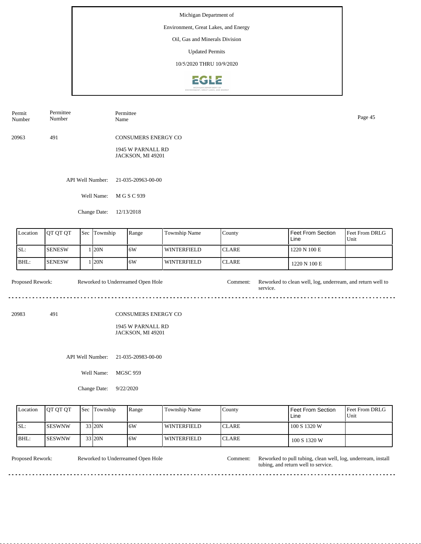## Environment, Great Lakes, and Energy

Oil, Gas and Minerals Division

Updated Permits

10/5/2020 THRU 10/9/2020



| Permit<br>Number | Permittee<br>Number        | Permittee<br>Name                                                    | Page 45 |
|------------------|----------------------------|----------------------------------------------------------------------|---------|
| 20963            | 491                        | <b>CONSUMERS ENERGY CO</b><br>1945 W PARNALL RD<br>JACKSON, MI 49201 |         |
|                  |                            |                                                                      |         |
|                  | API Well Number:           | 21-035-20963-00-00                                                   |         |
|                  | Well Name:<br>Change Date: | M G S C 939<br>12/13/2018                                            |         |
|                  |                            |                                                                      |         |

| Location | <b>IOT OT OT</b> | l Sec | Township | Range | Township Name      | County        | Feet From Section<br>Line | <b>Feet From DRLG</b><br>Unit |
|----------|------------------|-------|----------|-------|--------------------|---------------|---------------------------|-------------------------------|
| ISL:     | <b>I</b> SENESW  |       | 120N     | 16W   | <b>WINTERFIELD</b> | <b>ICLARE</b> | 1220 N 100 E              |                               |
| BHL:     | <b>ISENESW</b>   |       | 120N     | 16W   | <b>WINTERFIELD</b> | <b>CLARE</b>  | 1220 N 100 E              |                               |

Proposed Rework: Reworked to Underreamed Open Hole Comment: Reworked to clean well, log, underream, and return well to Reworked to Underreamed Open Hole service. 

20983 491

CONSUMERS ENERGY CO

#### 1945 W PARNALL RD JACKSON, MI 49201

API Well Number: 21-035-20983-00-00

Well Name: MGSC 959

Change Date: 9/22/2020

| Location | <b>IOT OT OT</b> | <b>Sec</b> Township | Range | Township Name | County        | Feet From Section<br>Line | <b>Feet From DRLG</b><br>Unit |
|----------|------------------|---------------------|-------|---------------|---------------|---------------------------|-------------------------------|
| ISL:     | <b>ISESWNW</b>   | 33 20N              | 16W   | l winterfield | <b>ICLARE</b> | 100 S 1320 W              |                               |
| BHL:     | ISESWNW          | 33 20N              | 16W   | l winterfield | <b>ICLARE</b> | 100 S 1320 W              |                               |

<u>. . . . . . . . . . . . . . .</u>

Reworked to Underreamed Open Hole

Proposed Rework: Reworked to Underreamed Open Hole Comment: Reworked to pull tubing, clean well, log, underream, install tubing, and return well to service.

 $\sim$   $\sim$   $\sim$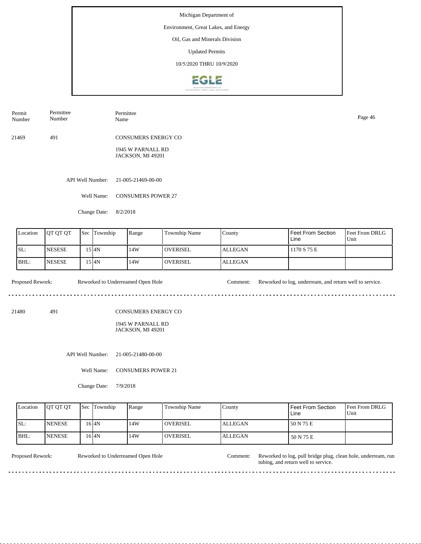## Environment, Great Lakes, and Energy

Oil, Gas and Minerals Division

Updated Permits

10/5/2020 THRU 10/9/2020



| Permit | Permittee | Permittee           | Page 46 |
|--------|-----------|---------------------|---------|
| Number | Number    | Name                |         |
| 21469  | 491       | CONSUMERS ENERGY CO |         |

1945 W PARNALL RD JACKSON, MI 49201

API Well Number: 21-005-21469-00-00

Well Name: CONSUMERS POWER 27

Change Date: 8/2/2018

| Location | <b>OT OT OT</b> | <b>Sec</b> | Township | Range | Township Name   | County         | Feet From Section<br>Line | <b>Feet From DRLG</b><br>Unit |
|----------|-----------------|------------|----------|-------|-----------------|----------------|---------------------------|-------------------------------|
| SL:      | <b>INESESE</b>  |            | 15 I4N   | 14W   | <b>OVERISEL</b> | <b>ALLEGAN</b> | 1170 S 75 E               |                               |
| IBHL:    | <b>NESESE</b>   |            | 15 I4N   | 14W   | <b>OVERISEL</b> | <b>ALLEGAN</b> |                           |                               |

Proposed Rework: Reworked to Underreamed Open Hole Comment: Reworked to log, underream, and return well to service.

21480 491

CONSUMERS ENERGY CO

1945 W PARNALL RD JACKSON, MI 49201

API Well Number: 21-005-21480-00-00

Well Name: CONSUMERS POWER 21

Change Date: 7/9/2018

| Location | <b>IOT OT OT</b> | <b>Sec</b> Township | Range | <b>Township Name</b> | Countv         | l Feet From Section<br>Line | <b>Feet From DRLG</b><br>Unit |
|----------|------------------|---------------------|-------|----------------------|----------------|-----------------------------|-------------------------------|
| ISL:     | <b>NENESE</b>    | 16 <sup>4</sup> N   | 14W   | <b>OVERISEL</b>      | <b>ALLEGAN</b> | 150 N 75 E                  |                               |
| IBHL:    | <b>INENESE</b>   | $16$ <sub>4N</sub>  | 14W   | <b>OVERISEL</b>      | ALLEGAN        | 50 N 75 E                   |                               |

. . . . . . . . . . .

Reworked to Underreamed Open Hole

Proposed Rework: Reworked to Underreamed Open Hole Comment: Reworked to log, pull bridge plug, clean hole, underream, run tubing, and return well to service.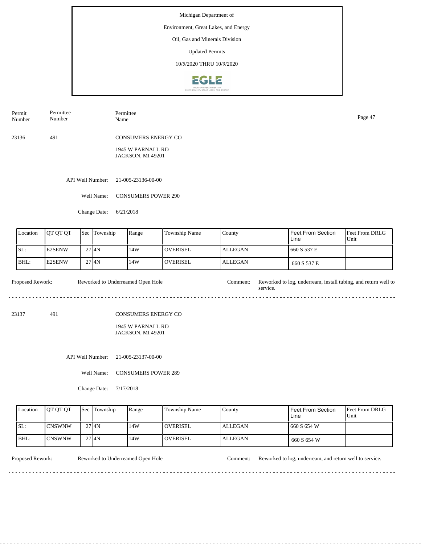## Environment, Great Lakes, and Energy

Oil, Gas and Minerals Division

Updated Permits

10/5/2020 THRU 10/9/2020



| Permit | Permittee | Permittee                  | Page 47 |
|--------|-----------|----------------------------|---------|
| Number | Number    | Name                       |         |
| 23136  | 491       | <b>CONSUMERS ENERGY CO</b> |         |

1945 W PARNALL RD JACKSON, MI 49201

API Well Number: 21-005-23136-00-00

Well Name: CONSUMERS POWER 290

Change Date: 6/21/2018

| Location | <b>IOT OT OT</b> | <b>Sec</b> | Township  | Range | Township Name    | County         | Feet From Section<br>Line | <b>Feet From DRLG</b><br>Unit |
|----------|------------------|------------|-----------|-------|------------------|----------------|---------------------------|-------------------------------|
| ISL:     | <b>E2SENW</b>    |            | 2714N     | 14W   | <b>LOVERISEL</b> | <b>ALLEGAN</b> | 660 S 537 E               |                               |
| IBHL:    | <b>IE2SENW</b>   |            | $27$ $4N$ | 14W   | <b>OVERISEL</b>  | <b>ALLEGAN</b> | 660 S 537 E               |                               |

Proposed Rework: Reworked to Underreamed Open Hole Comment: Reworked to log, underream, install tubing, and return well to Reworked to Underreamed Open Hole service. 

23137 491

CONSUMERS ENERGY CO

1945 W PARNALL RD JACKSON, MI 49201

API Well Number: 21-005-23137-00-00

Well Name: CONSUMERS POWER 289

Change Date: 7/17/2018

| Location | <b>IOT OT OT</b> | <b>Sec Township</b> | Range | Township Name   | County         | Feet From Section<br>Line | <b>Feet From DRLG</b><br>Unit |
|----------|------------------|---------------------|-------|-----------------|----------------|---------------------------|-------------------------------|
| SL:      | ICNSWNW          | $27$ $4N$           | 14W   | <b>OVERISEL</b> | <b>ALLEGAN</b> | 660 S 654 W               |                               |
| BHL:     | ICNSWNW          | 2714N               | 14W   | <b>OVERISEL</b> | <b>ALLEGAN</b> | 660 S 654 W               |                               |

. . . . . . . . . . . . . . . . . . . .

Proposed Rework: Reworked to Underreamed Open Hole Comment: Reworked to log, underream, and return well to service.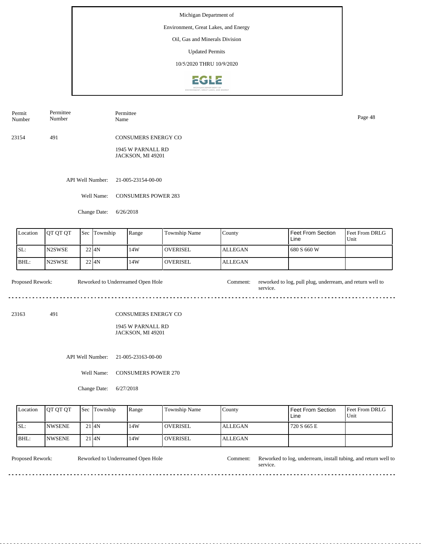## Environment, Great Lakes, and Energy

Oil, Gas and Minerals Division

Updated Permits

10/5/2020 THRU 10/9/2020



| Permit | Permittee | Permittee                  | Page 48 |
|--------|-----------|----------------------------|---------|
| Number | Number    | Name                       |         |
| 23154  | 491       | <b>CONSUMERS ENERGY CO</b> |         |

1945 W PARNALL RD JACKSON, MI 49201

API Well Number: 21-005-23154-00-00

Well Name: CONSUMERS POWER 283

Change Date: 6/26/2018

| Location | <b>IOT OT OT</b> | <b>Sec</b> | Township | Range | Township Name   | County         | Feet From Section<br>Line | <b>Feet From DRLG</b><br>Unit |
|----------|------------------|------------|----------|-------|-----------------|----------------|---------------------------|-------------------------------|
| ISL:     | <b>IN2SWSE</b>   | $22$ $4N$  |          | 14W   | <b>OVERISEL</b> | <b>ALLEGAN</b> | 680 S 660 W               |                               |
| BHL:     | <b>N2SWSE</b>    | 2214N      |          | 14W   | <b>OVERISEL</b> | <b>ALLEGAN</b> |                           |                               |

Proposed Rework: Reworked to Underreamed Open Hole Comment: reworked to log, pull plug, underream, and return well to Reworked to Underreamed Open Hole service. 

23163 491

CONSUMERS ENERGY CO

1945 W PARNALL RD JACKSON, MI 49201

API Well Number: 21-005-23163-00-00

Well Name: CONSUMERS POWER 270

Change Date: 6/27/2018

| Location | <b>IOT OT OT</b> | <b>Sec</b> Township | Range | Township Name   | Countv  | Feet From Section<br>Line | <b>Feet From DRLG</b><br>Unit |
|----------|------------------|---------------------|-------|-----------------|---------|---------------------------|-------------------------------|
| SL:      | <b>INWSENE</b>   | $21$ $4N$           | 14W   | <b>OVERISEL</b> | ALLEGAN | 720 S 665 E               |                               |
| BHL:     | <b>INWSENE</b>   | 21 I <sub>4</sub> N | 14W   | <b>OVERISEL</b> | ALLEGAN |                           |                               |

<u>. . . . . . . . .</u>

Reworked to Underreamed Open Hole

Proposed Rework: Reworked to Underreamed Open Hole Comment: Reworked to log, underream, install tubing, and return well to service.

<u>. . . . . . . . . . . . . . .</u>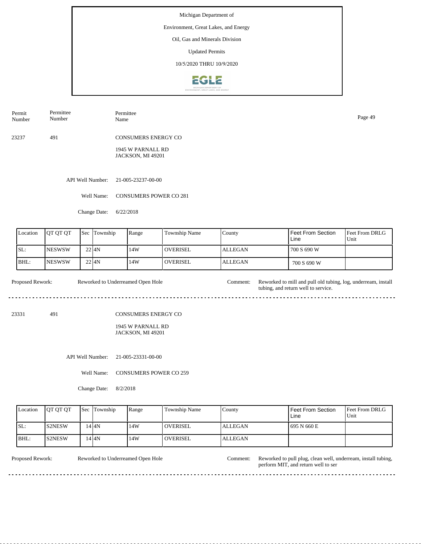# Environment, Great Lakes, and Energy

Oil, Gas and Minerals Division

Updated Permits

10/5/2020 THRU 10/9/2020



| Permit | Permittee | Permittee                  | Page 49 |
|--------|-----------|----------------------------|---------|
| Number | Number    | Name                       |         |
| 23237  | 491       | <b>CONSUMERS ENERGY CO</b> |         |

1945 W PARNALL RD JACKSON, MI 49201

API Well Number: 21-005-23237-00-00

Well Name: CONSUMERS POWER CO 281

Change Date: 6/22/2018

| Location | <b>OT OT OT</b> | <b>Sec</b> | Township  | Range | Township Name    | County         | Feet From Section<br>Line | <b>Feet From DRLG</b><br>Unit |
|----------|-----------------|------------|-----------|-------|------------------|----------------|---------------------------|-------------------------------|
| SL:      | INESWSW         |            | $22$ $4N$ | 14W   | <b>LOVERISEL</b> | <b>ALLEGAN</b> | 700 S 690 W               |                               |
| BHL:     | <b>INESWSW</b>  |            | 2214N     | 14W   | <b>OVERISEL</b>  | <b>ALLEGAN</b> | 700 S 690 W               |                               |

Proposed Rework: Reworked to Underreamed Open Hole Comment: Reworked to mill and pull old tubing, log, underream, install Reworked to Underreamed Open Hole tubing, and return well to service. <u>. . . . . . . . . . .</u> <u>. . . . . . . .</u>  $- - - - - -$ 

23331 491

CONSUMERS ENERGY CO

1945 W PARNALL RD JACKSON, MI 49201

API Well Number: 21-005-23331-00-00

Well Name: CONSUMERS POWER CO 259

Change Date: 8/2/2018

| Location | <b>OT OT OT</b> | <b>Sec Township</b> | Range | <b>Township Name</b> | Countv         | Feet From Section<br>Line | <b>Feet From DRLG</b><br>Unit |
|----------|-----------------|---------------------|-------|----------------------|----------------|---------------------------|-------------------------------|
| ISL:     | IS2NESW         | 14 I 4 N            | 14W   | <b>OVERISEL</b>      | <b>ALLEGAN</b> | 695 N 660 E               |                               |
| IBHL:    | <b>S2NESW</b>   | 14 I 4 N            | 14W   | <b>OVERISEL</b>      | <b>ALLEGAN</b> |                           |                               |

<u>. . . . . . . . .</u>

Reworked to Underreamed Open Hole

Proposed Rework: Reworked to Underreamed Open Hole Comment: Reworked to pull plug, clean well, underream, install tubing, perform MIT, and return well to ser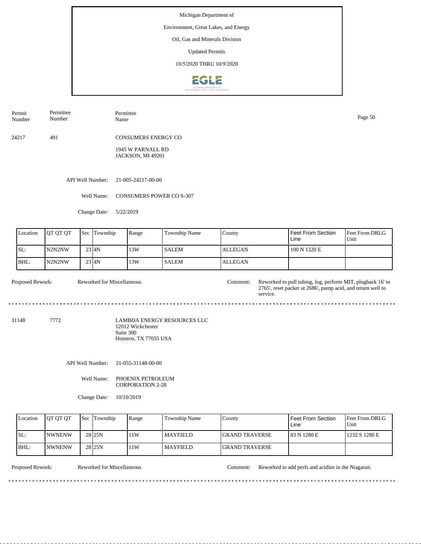## Environment, Great Lakes, and Energy

Oil, Gas and Minerals Division

Updated Permits

10/5/2020 THRU 10/9/2020



Permit Number Permittee Number Permittee<br>Name Page 50<br>Name Page 50

24217 491 CONSUMERS ENERGY CO

> 1945 W PARNALL RD JACKSON, MI 49201

API Well Number: 21-005-24217-00-00

Well Name: CONSUMERS POWER CO S-307

Change Date: 5/22/2019

| Location         | QT QT QT | Sec | Township                   | Range                                                   | Township Name                      | County                                                                                                                                |  | Feet From Section<br>Line       | Feet From DRLG<br>Unit           |
|------------------|----------|-----|----------------------------|---------------------------------------------------------|------------------------------------|---------------------------------------------------------------------------------------------------------------------------------------|--|---------------------------------|----------------------------------|
| SL:              | N2N2NW   |     | $23 \vert 4N$              | 13W                                                     | <b>SALEM</b>                       | <b>ALLEGAN</b>                                                                                                                        |  | 100 N 1320 E                    |                                  |
| BHL:             | N2N2NW   |     | $23 \vert 4N$              | 13W                                                     | <b>SALEM</b>                       | <b>ALLEGAN</b>                                                                                                                        |  |                                 |                                  |
| Proposed Rework: |          |     | Reworked for Miscellaneous |                                                         | Comment:                           | Reworked to pull tubing, log, perform MIT, plugback 16' to<br>2765', reset packer at 2686', pump acid, and return well to<br>service. |  |                                 |                                  |
| 31148            | 7772     |     |                            | 12012 Wickchester<br>Suite 300<br>Houston, TX 77055 USA | <b>LAMBDA ENERGY RESOURCES LLC</b> |                                                                                                                                       |  |                                 |                                  |
|                  |          |     | API Well Number:           | 21-055-31148-00-00                                      |                                    |                                                                                                                                       |  |                                 |                                  |
|                  |          |     | Well Name:                 | PHOENIX PETROLEUM<br><b>CORPORATION 2-28</b>            |                                    |                                                                                                                                       |  |                                 |                                  |
|                  |          |     | Change Date:               | 10/10/2019                                              |                                    |                                                                                                                                       |  |                                 |                                  |
| Location         | QT QT QT | Sec | Township                   | Range                                                   | Township Name                      | County                                                                                                                                |  | Feet From Section<br>$1.3 - 1.$ | Feet From DRLG<br>$TT_{12}$ $24$ |

| <b>Location</b> | <b>IOT OT OT</b> | <b>Sec</b> Township | Range | Township Name   | County                 | I Feet From Section<br>Line | <b>Feet From DRLG</b><br>Unit |
|-----------------|------------------|---------------------|-------|-----------------|------------------------|-----------------------------|-------------------------------|
| ISL:            | <b>INWNENW</b>   | 28 <sub>25N</sub>   | 11W   | <b>MAYFIELD</b> | <b>IGRAND TRAVERSE</b> | 183 N 1280 E                | 1232 S 1280 E                 |
| IBHL:           | <b>NWNENW</b>    | 28 <sub>25N</sub>   | 11W   | <b>MAYFIELD</b> | <b>IGRAND TRAVERSE</b> |                             |                               |

Proposed Rework: Reworked for Miscellaneous Comment: Reworked to add perfs and acidize in the Niagaran.

. . . . . . . . . .

 $\sim$   $\sim$  $\overline{a}$  $\sim$   $\sim$